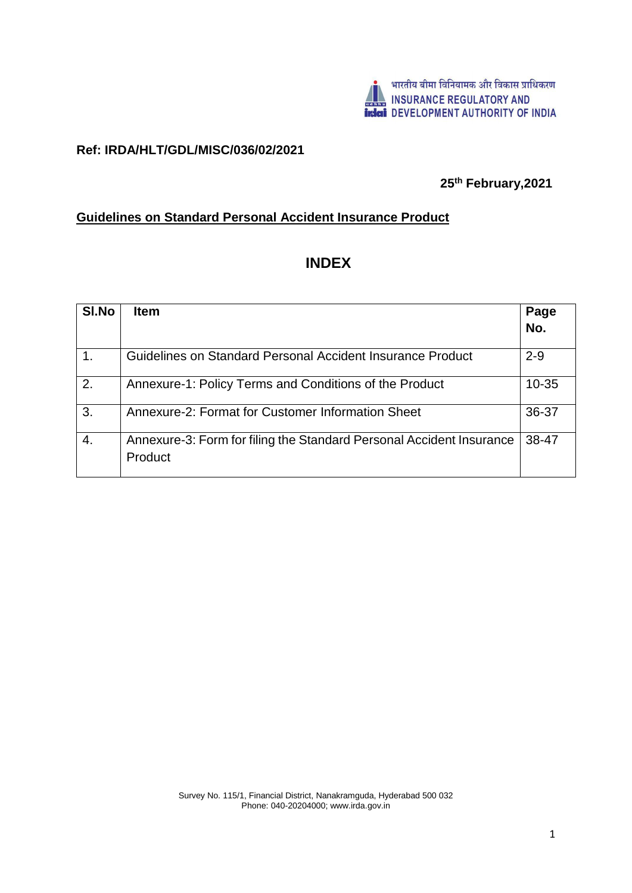

## **Ref: IRDA/HLT/GDL/MISC/036/02/2021**

## **25th February,2021**

## **Guidelines on Standard Personal Accident Insurance Product**

# **INDEX**

| SI.No | <b>Item</b>                                                                     | Page      |
|-------|---------------------------------------------------------------------------------|-----------|
|       |                                                                                 | No.       |
|       | Guidelines on Standard Personal Accident Insurance Product                      | $2 - 9$   |
| 2.    | Annexure-1: Policy Terms and Conditions of the Product                          | $10 - 35$ |
| 3.    | Annexure-2: Format for Customer Information Sheet                               | 36-37     |
| 4.    | Annexure-3: Form for filing the Standard Personal Accident Insurance<br>Product | 38-47     |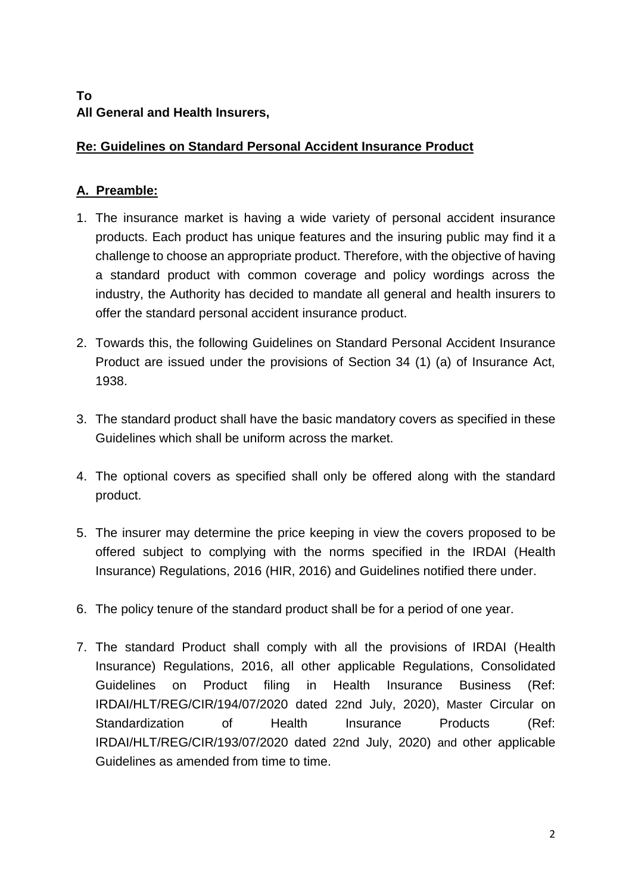## **To All General and Health Insurers,**

## **Re: Guidelines on Standard Personal Accident Insurance Product**

# **A. Preamble:**

- 1. The insurance market is having a wide variety of personal accident insurance products. Each product has unique features and the insuring public may find it a challenge to choose an appropriate product. Therefore, with the objective of having a standard product with common coverage and policy wordings across the industry, the Authority has decided to mandate all general and health insurers to offer the standard personal accident insurance product.
- 2. Towards this, the following Guidelines on Standard Personal Accident Insurance Product are issued under the provisions of Section 34 (1) (a) of Insurance Act, 1938.
- 3. The standard product shall have the basic mandatory covers as specified in these Guidelines which shall be uniform across the market.
- 4. The optional covers as specified shall only be offered along with the standard product.
- 5. The insurer may determine the price keeping in view the covers proposed to be offered subject to complying with the norms specified in the IRDAI (Health Insurance) Regulations, 2016 (HIR, 2016) and Guidelines notified there under.
- 6. The policy tenure of the standard product shall be for a period of one year.
- 7. The standard Product shall comply with all the provisions of IRDAI (Health Insurance) Regulations, 2016, all other applicable Regulations, Consolidated Guidelines on Product filing in Health Insurance Business (Ref: IRDAI/HLT/REG/CIR/194/07/2020 dated 22nd July, 2020), Master Circular on Standardization of Health Insurance Products (Ref: IRDAI/HLT/REG/CIR/193/07/2020 dated 22nd July, 2020) and other applicable Guidelines as amended from time to time.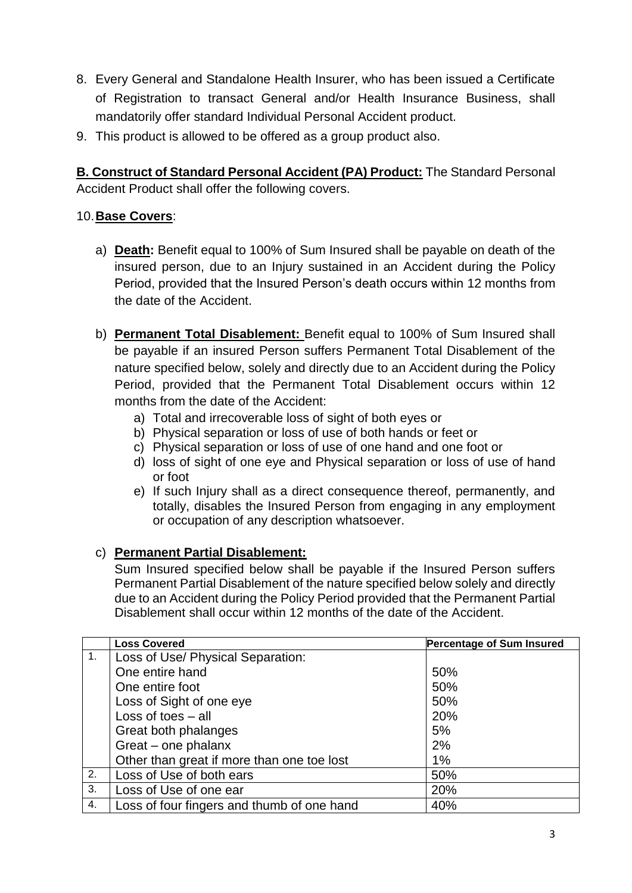- 8. Every General and Standalone Health Insurer, who has been issued a Certificate of Registration to transact General and/or Health Insurance Business, shall mandatorily offer standard Individual Personal Accident product.
- 9. This product is allowed to be offered as a group product also.

**B. Construct of Standard Personal Accident (PA) Product:** The Standard Personal Accident Product shall offer the following covers.

## 10.**Base Covers**:

- a) **Death:** Benefit equal to 100% of Sum Insured shall be payable on death of the insured person, due to an Injury sustained in an Accident during the Policy Period, provided that the Insured Person's death occurs within 12 months from the date of the Accident.
- b) **Permanent Total Disablement:** Benefit equal to 100% of Sum Insured shall be payable if an insured Person suffers Permanent Total Disablement of the nature specified below, solely and directly due to an Accident during the Policy Period, provided that the Permanent Total Disablement occurs within 12 months from the date of the Accident:
	- a) Total and irrecoverable loss of sight of both eyes or
	- b) Physical separation or loss of use of both hands or feet or
	- c) Physical separation or loss of use of one hand and one foot or
	- d) loss of sight of one eye and Physical separation or loss of use of hand or foot
	- e) If such Injury shall as a direct consequence thereof, permanently, and totally, disables the Insured Person from engaging in any employment or occupation of any description whatsoever.

## c) **Permanent Partial Disablement:**

Sum Insured specified below shall be payable if the Insured Person suffers Permanent Partial Disablement of the nature specified below solely and directly due to an Accident during the Policy Period provided that the Permanent Partial Disablement shall occur within 12 months of the date of the Accident.

|    | <b>Loss Covered</b>                        | <b>Percentage of Sum Insured</b> |
|----|--------------------------------------------|----------------------------------|
| 1. | Loss of Use/ Physical Separation:          |                                  |
|    | One entire hand                            | 50%                              |
|    | One entire foot                            | 50%                              |
|    | Loss of Sight of one eye                   | 50%                              |
|    | Loss of toes $-$ all                       | 20%                              |
|    | Great both phalanges                       | 5%                               |
|    | Great – one phalanx                        | 2%                               |
|    | Other than great if more than one toe lost | $1\%$                            |
| 2. | Loss of Use of both ears                   | 50%                              |
| 3. | Loss of Use of one ear                     | 20%                              |
| 4. | Loss of four fingers and thumb of one hand | 40%                              |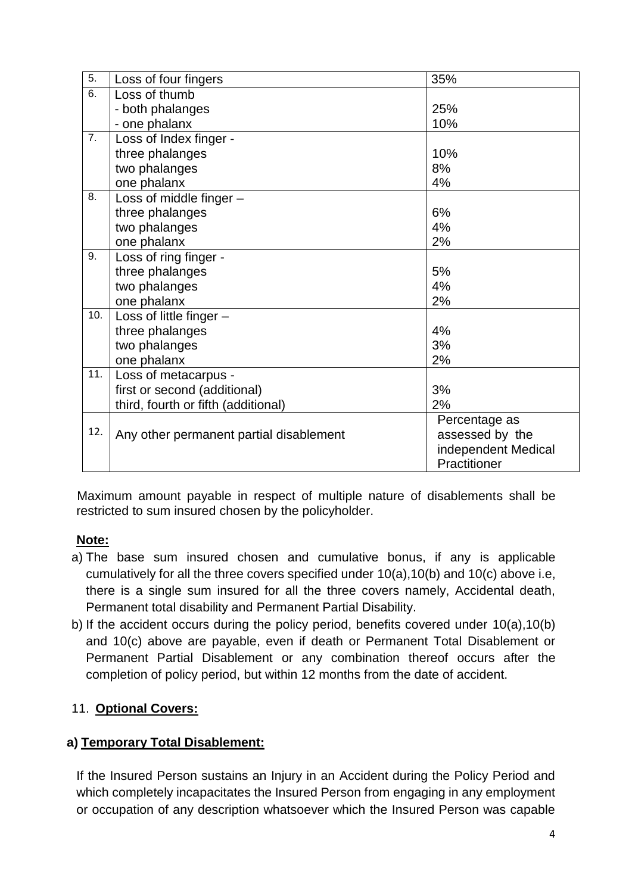| 5.  | Loss of four fingers                    | 35%                 |
|-----|-----------------------------------------|---------------------|
| 6.  | Loss of thumb                           |                     |
|     | - both phalanges                        | 25%                 |
|     | - one phalanx                           | 10%                 |
| 7.  | Loss of Index finger -                  |                     |
|     | three phalanges                         | 10%                 |
|     | two phalanges                           | 8%                  |
|     | one phalanx                             | 4%                  |
| 8.  | Loss of middle finger -                 |                     |
|     | three phalanges                         | 6%                  |
|     | two phalanges                           | 4%                  |
|     | one phalanx                             | 2%                  |
| 9.  | Loss of ring finger -                   |                     |
|     | three phalanges                         | 5%                  |
|     | two phalanges                           | 4%                  |
|     | one phalanx                             | 2%                  |
| 10. | Loss of little finger -                 |                     |
|     | three phalanges                         | 4%                  |
|     | two phalanges                           | 3%                  |
|     | one phalanx                             | 2%                  |
| 11. | Loss of metacarpus -                    |                     |
|     | first or second (additional)            | 3%                  |
|     | third, fourth or fifth (additional)     | 2%                  |
|     |                                         | Percentage as       |
| 12. | Any other permanent partial disablement | assessed by the     |
|     |                                         | independent Medical |
|     |                                         | Practitioner        |
|     |                                         |                     |

 Maximum amount payable in respect of multiple nature of disablements shall be restricted to sum insured chosen by the policyholder.

## **Note:**

- a) The base sum insured chosen and cumulative bonus, if any is applicable cumulatively for all the three covers specified under 10(a),10(b) and 10(c) above i.e, there is a single sum insured for all the three covers namely, Accidental death, Permanent total disability and Permanent Partial Disability.
- b) If the accident occurs during the policy period, benefits covered under 10(a),10(b) and 10(c) above are payable, even if death or Permanent Total Disablement or Permanent Partial Disablement or any combination thereof occurs after the completion of policy period, but within 12 months from the date of accident.

## 11. **Optional Covers:**

## **a) Temporary Total Disablement:**

If the Insured Person sustains an Injury in an Accident during the Policy Period and which completely incapacitates the Insured Person from engaging in any employment or occupation of any description whatsoever which the Insured Person was capable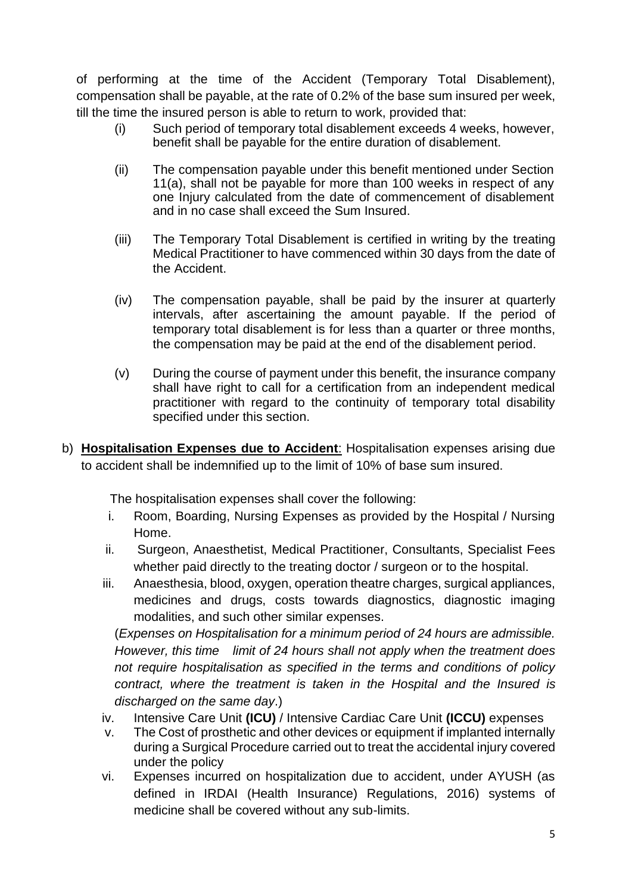of performing at the time of the Accident (Temporary Total Disablement), compensation shall be payable, at the rate of 0.2% of the base sum insured per week, till the time the insured person is able to return to work, provided that:

- (i) Such period of temporary total disablement exceeds 4 weeks, however, benefit shall be payable for the entire duration of disablement.
- (ii) The compensation payable under this benefit mentioned under Section 11(a), shall not be payable for more than 100 weeks in respect of any one Injury calculated from the date of commencement of disablement and in no case shall exceed the Sum Insured.
- (iii) The Temporary Total Disablement is certified in writing by the treating Medical Practitioner to have commenced within 30 days from the date of the Accident.
- (iv) The compensation payable, shall be paid by the insurer at quarterly intervals, after ascertaining the amount payable. If the period of temporary total disablement is for less than a quarter or three months, the compensation may be paid at the end of the disablement period.
- (v) During the course of payment under this benefit, the insurance company shall have right to call for a certification from an independent medical practitioner with regard to the continuity of temporary total disability specified under this section.
- b) **Hospitalisation Expenses due to Accident**: Hospitalisation expenses arising due to accident shall be indemnified up to the limit of 10% of base sum insured.

The hospitalisation expenses shall cover the following:

- i. Room, Boarding, Nursing Expenses as provided by the Hospital / Nursing Home.
- ii. Surgeon, Anaesthetist, Medical Practitioner, Consultants, Specialist Fees whether paid directly to the treating doctor / surgeon or to the hospital.
- iii. Anaesthesia, blood, oxygen, operation theatre charges, surgical appliances, medicines and drugs, costs towards diagnostics, diagnostic imaging modalities, and such other similar expenses.

(*Expenses on Hospitalisation for a minimum period of 24 hours are admissible. However, this time limit of 24 hours shall not apply when the treatment does not require hospitalisation as specified in the terms and conditions of policy contract, where the treatment is taken in the Hospital and the Insured is discharged on the same day*.)

- iv. Intensive Care Unit **(ICU)** / Intensive Cardiac Care Unit **(ICCU)** expenses
- v. The Cost of prosthetic and other devices or equipment if implanted internally during a Surgical Procedure carried out to treat the accidental injury covered under the policy
- vi. Expenses incurred on hospitalization due to accident, under AYUSH (as defined in IRDAI (Health Insurance) Regulations, 2016) systems of medicine shall be covered without any sub-limits.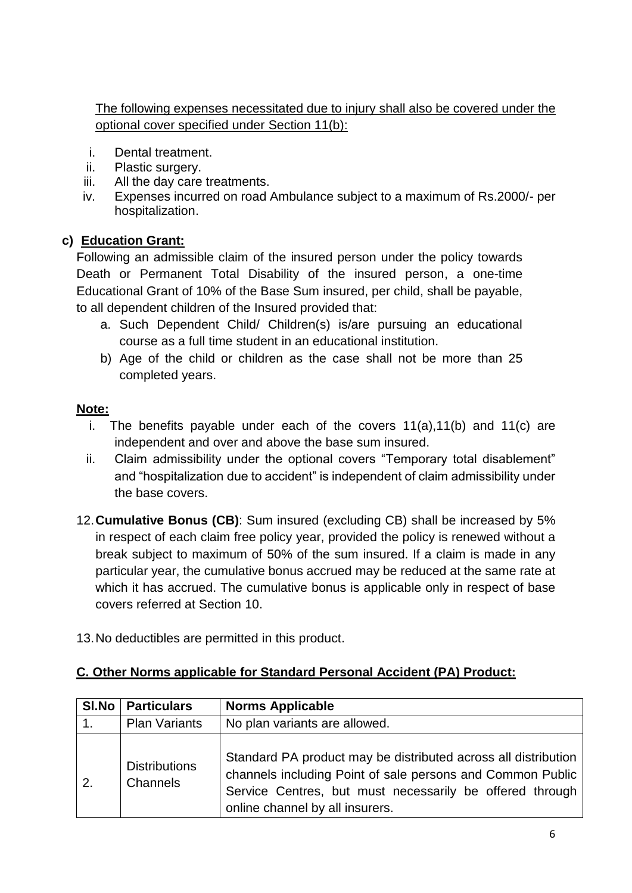The following expenses necessitated due to injury shall also be covered under the optional cover specified under Section 11(b):

- i. Dental treatment.
- ii. Plastic surgery.
- iii. All the day care treatments.
- iv. Expenses incurred on road Ambulance subject to a maximum of Rs.2000/- per hospitalization.

## **c) Education Grant:**

Following an admissible claim of the insured person under the policy towards Death or Permanent Total Disability of the insured person, a one-time Educational Grant of 10% of the Base Sum insured, per child, shall be payable, to all dependent children of the Insured provided that:

- a. Such Dependent Child/ Children(s) is/are pursuing an educational course as a full time student in an educational institution.
- b) Age of the child or children as the case shall not be more than 25 completed years.

## **Note:**

- i. The benefits payable under each of the covers 11(a),11(b) and 11(c) are independent and over and above the base sum insured.
- ii. Claim admissibility under the optional covers "Temporary total disablement" and "hospitalization due to accident" is independent of claim admissibility under the base covers.
- 12.**Cumulative Bonus (CB)**: Sum insured (excluding CB) shall be increased by 5% in respect of each claim free policy year, provided the policy is renewed without a break subject to maximum of 50% of the sum insured. If a claim is made in any particular year, the cumulative bonus accrued may be reduced at the same rate at which it has accrued. The cumulative bonus is applicable only in respect of base covers referred at Section 10.
- 13.No deductibles are permitted in this product.

## **C. Other Norms applicable for Standard Personal Accident (PA) Product:**

| <b>SI.No</b> | <b>Particulars</b>               | <b>Norms Applicable</b>                                                                                                                                                                                                     |
|--------------|----------------------------------|-----------------------------------------------------------------------------------------------------------------------------------------------------------------------------------------------------------------------------|
|              | <b>Plan Variants</b>             | No plan variants are allowed.                                                                                                                                                                                               |
| 2.           | <b>Distributions</b><br>Channels | Standard PA product may be distributed across all distribution<br>channels including Point of sale persons and Common Public<br>Service Centres, but must necessarily be offered through<br>online channel by all insurers. |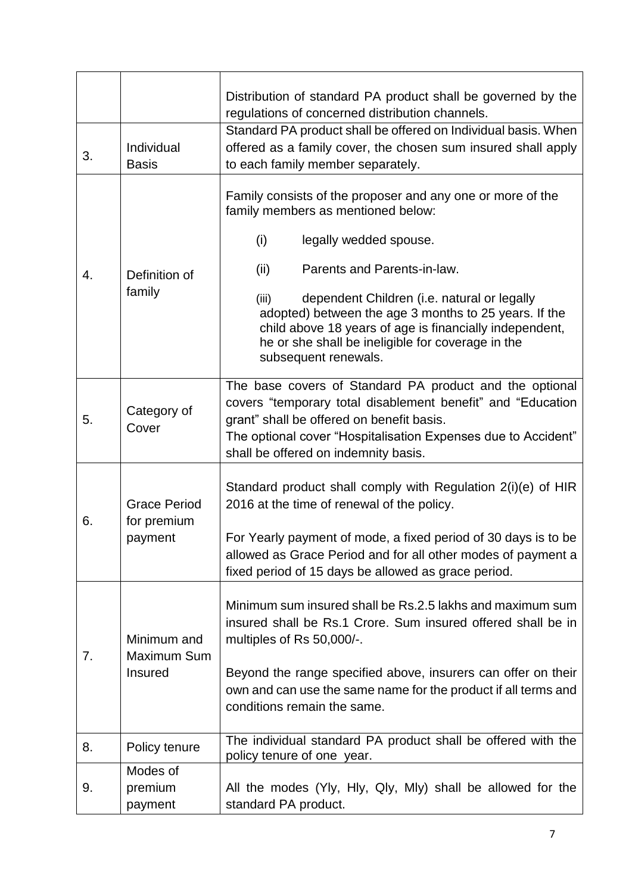| 3. | Individual<br><b>Basis</b>                    | Distribution of standard PA product shall be governed by the<br>regulations of concerned distribution channels.<br>Standard PA product shall be offered on Individual basis. When<br>offered as a family cover, the chosen sum insured shall apply<br>to each family member separately.                                                                                                                                           |
|----|-----------------------------------------------|-----------------------------------------------------------------------------------------------------------------------------------------------------------------------------------------------------------------------------------------------------------------------------------------------------------------------------------------------------------------------------------------------------------------------------------|
| 4. | Definition of<br>family                       | Family consists of the proposer and any one or more of the<br>family members as mentioned below:<br>(i)<br>legally wedded spouse.<br>Parents and Parents-in-law.<br>(ii)<br>dependent Children (i.e. natural or legally<br>(iii)<br>adopted) between the age 3 months to 25 years. If the<br>child above 18 years of age is financially independent,<br>he or she shall be ineligible for coverage in the<br>subsequent renewals. |
| 5. | Category of<br>Cover                          | The base covers of Standard PA product and the optional<br>covers "temporary total disablement benefit" and "Education<br>grant" shall be offered on benefit basis.<br>The optional cover "Hospitalisation Expenses due to Accident"<br>shall be offered on indemnity basis.                                                                                                                                                      |
| 6. | <b>Grace Period</b><br>for premium<br>payment | Standard product shall comply with Regulation 2(i)(e) of HIR<br>2016 at the time of renewal of the policy.<br>For Yearly payment of mode, a fixed period of 30 days is to be<br>allowed as Grace Period and for all other modes of payment a<br>fixed period of 15 days be allowed as grace period.                                                                                                                               |
| 7. | Minimum and<br>Maximum Sum<br>Insured         | Minimum sum insured shall be Rs.2.5 lakhs and maximum sum<br>insured shall be Rs.1 Crore. Sum insured offered shall be in<br>multiples of Rs 50,000/-.<br>Beyond the range specified above, insurers can offer on their<br>own and can use the same name for the product if all terms and<br>conditions remain the same.                                                                                                          |
| 8. | Policy tenure                                 | The individual standard PA product shall be offered with the<br>policy tenure of one year.                                                                                                                                                                                                                                                                                                                                        |
| 9. | Modes of<br>premium<br>payment                | All the modes (Yly, Hly, Qly, Mly) shall be allowed for the<br>standard PA product.                                                                                                                                                                                                                                                                                                                                               |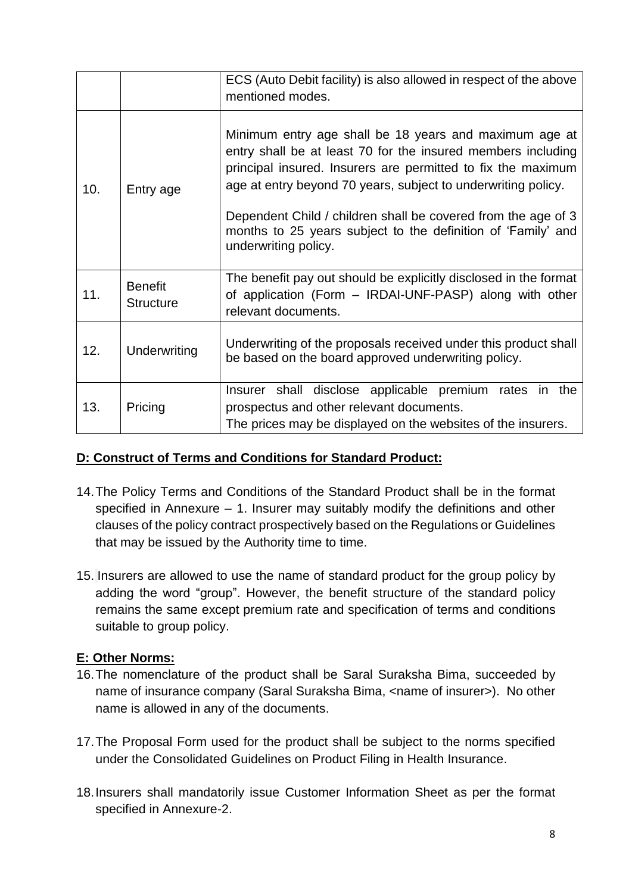|     |                                    | ECS (Auto Debit facility) is also allowed in respect of the above<br>mentioned modes.                                                                                                                                                                                                                                                                                                                            |  |  |  |
|-----|------------------------------------|------------------------------------------------------------------------------------------------------------------------------------------------------------------------------------------------------------------------------------------------------------------------------------------------------------------------------------------------------------------------------------------------------------------|--|--|--|
| 10. | Entry age                          | Minimum entry age shall be 18 years and maximum age at<br>entry shall be at least 70 for the insured members including<br>principal insured. Insurers are permitted to fix the maximum<br>age at entry beyond 70 years, subject to underwriting policy.<br>Dependent Child / children shall be covered from the age of 3<br>months to 25 years subject to the definition of 'Family' and<br>underwriting policy. |  |  |  |
| 11. | <b>Benefit</b><br><b>Structure</b> | The benefit pay out should be explicitly disclosed in the format<br>of application (Form – IRDAI-UNF-PASP) along with other<br>relevant documents.                                                                                                                                                                                                                                                               |  |  |  |
| 12. | Underwriting                       | Underwriting of the proposals received under this product shall<br>be based on the board approved underwriting policy.                                                                                                                                                                                                                                                                                           |  |  |  |
| 13. | Pricing                            | Insurer shall disclose applicable premium rates in the<br>prospectus and other relevant documents.<br>The prices may be displayed on the websites of the insurers.                                                                                                                                                                                                                                               |  |  |  |

## **D: Construct of Terms and Conditions for Standard Product:**

- 14.The Policy Terms and Conditions of the Standard Product shall be in the format specified in Annexure – 1. Insurer may suitably modify the definitions and other clauses of the policy contract prospectively based on the Regulations or Guidelines that may be issued by the Authority time to time.
- 15. Insurers are allowed to use the name of standard product for the group policy by adding the word "group". However, the benefit structure of the standard policy remains the same except premium rate and specification of terms and conditions suitable to group policy.

## **E: Other Norms:**

- 16.The nomenclature of the product shall be Saral Suraksha Bima, succeeded by name of insurance company (Saral Suraksha Bima, <name of insurer>). No other name is allowed in any of the documents.
- 17.The Proposal Form used for the product shall be subject to the norms specified under the Consolidated Guidelines on Product Filing in Health Insurance.
- 18.Insurers shall mandatorily issue Customer Information Sheet as per the format specified in Annexure-2.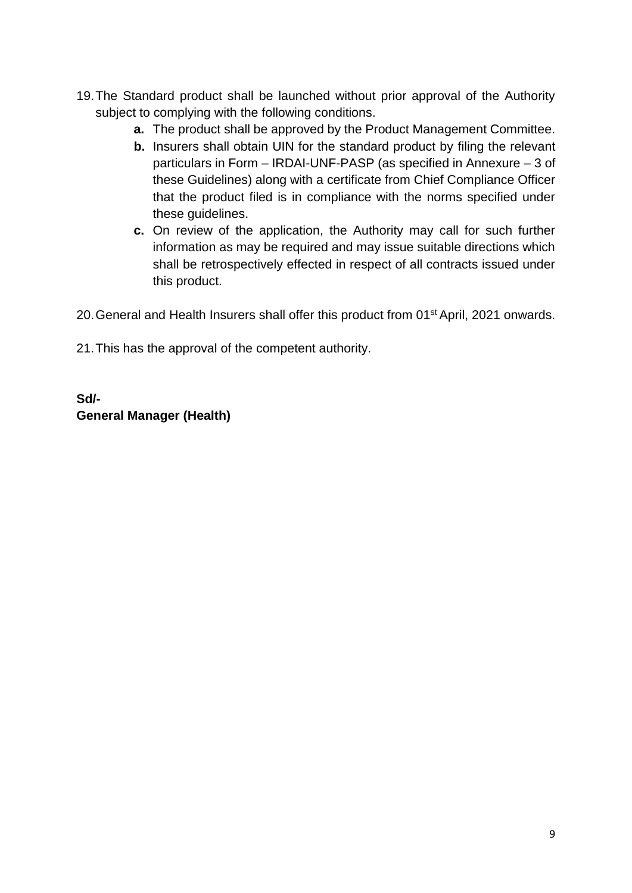- 19.The Standard product shall be launched without prior approval of the Authority subject to complying with the following conditions.
	- **a.** The product shall be approved by the Product Management Committee.
	- **b.** Insurers shall obtain UIN for the standard product by filing the relevant particulars in Form – IRDAI-UNF-PASP (as specified in Annexure – 3 of these Guidelines) along with a certificate from Chief Compliance Officer that the product filed is in compliance with the norms specified under these guidelines.
	- **c.** On review of the application, the Authority may call for such further information as may be required and may issue suitable directions which shall be retrospectively effected in respect of all contracts issued under this product.

20. General and Health Insurers shall offer this product from 01<sup>st</sup> April, 2021 onwards.

21.This has the approval of the competent authority.

**Sd/- General Manager (Health)**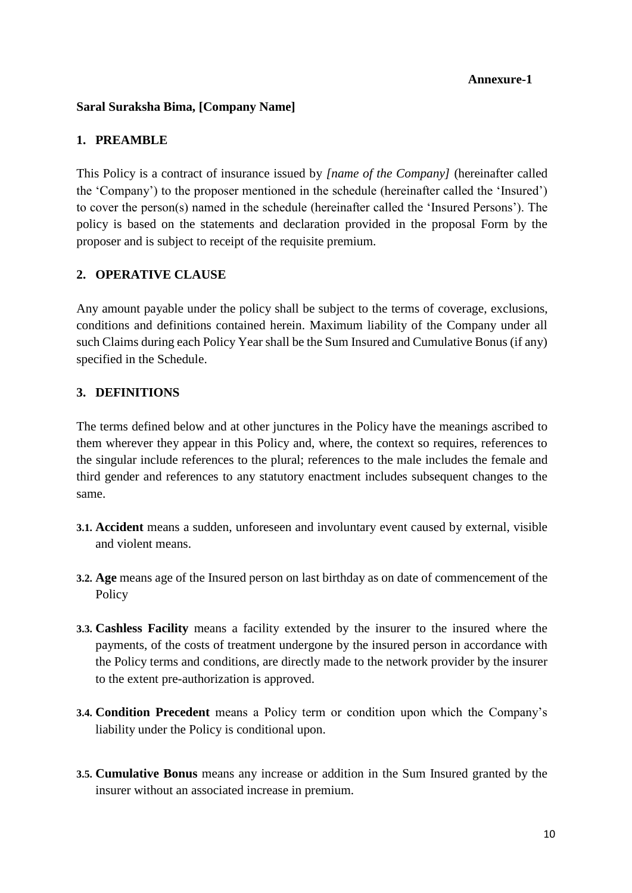#### **Annexure-1**

#### **Saral Suraksha Bima, [Company Name]**

#### **1. PREAMBLE**

This Policy is a contract of insurance issued by *[name of the Company]* (hereinafter called the 'Company') to the proposer mentioned in the schedule (hereinafter called the 'Insured') to cover the person(s) named in the schedule (hereinafter called the 'Insured Persons'). The policy is based on the statements and declaration provided in the proposal Form by the proposer and is subject to receipt of the requisite premium.

#### **2. OPERATIVE CLAUSE**

Any amount payable under the policy shall be subject to the terms of coverage, exclusions, conditions and definitions contained herein. Maximum liability of the Company under all such Claims during each Policy Year shall be the Sum Insured and Cumulative Bonus (if any) specified in the Schedule.

#### **3. DEFINITIONS**

The terms defined below and at other junctures in the Policy have the meanings ascribed to them wherever they appear in this Policy and, where, the context so requires, references to the singular include references to the plural; references to the male includes the female and third gender and references to any statutory enactment includes subsequent changes to the same.

- **3.1. Accident** means a sudden, unforeseen and involuntary event caused by external, visible and violent means.
- **3.2. Age** means age of the Insured person on last birthday as on date of commencement of the Policy
- **3.3. Cashless Facility** means a facility extended by the insurer to the insured where the payments, of the costs of treatment undergone by the insured person in accordance with the Policy terms and conditions, are directly made to the network provider by the insurer to the extent pre-authorization is approved.
- **3.4. Condition Precedent** means a Policy term or condition upon which the Company's liability under the Policy is conditional upon.
- **3.5. Cumulative Bonus** means any increase or addition in the Sum Insured granted by the insurer without an associated increase in premium.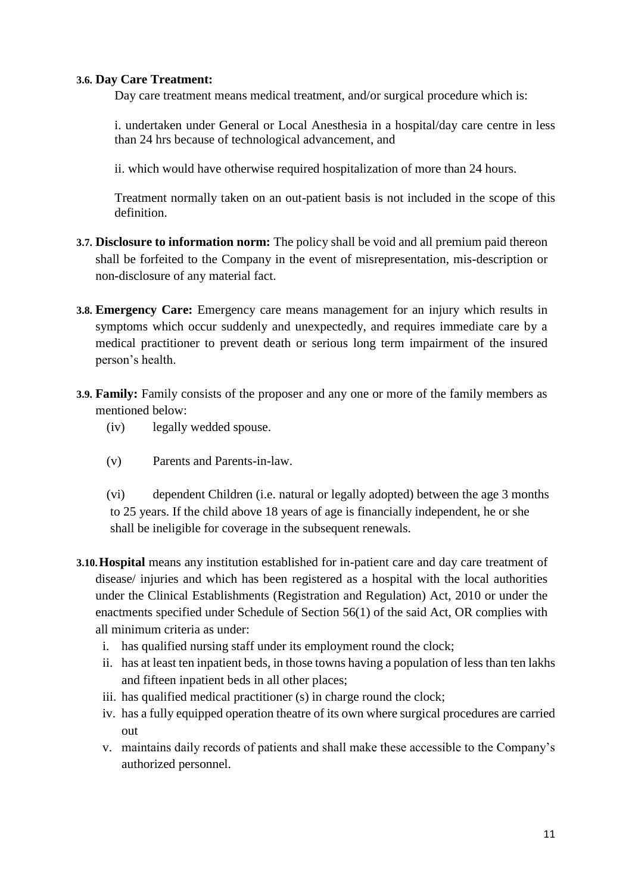#### **3.6. Day Care Treatment:**

Day care treatment means medical treatment, and/or surgical procedure which is:

i. undertaken under General or Local Anesthesia in a hospital/day care centre in less than 24 hrs because of technological advancement, and

ii. which would have otherwise required hospitalization of more than 24 hours.

Treatment normally taken on an out-patient basis is not included in the scope of this definition.

- **3.7. Disclosure to information norm:** The policy shall be void and all premium paid thereon shall be forfeited to the Company in the event of misrepresentation, mis-description or non-disclosure of any material fact.
- **3.8. Emergency Care:** Emergency care means management for an injury which results in symptoms which occur suddenly and unexpectedly, and requires immediate care by a medical practitioner to prevent death or serious long term impairment of the insured person's health.
- **3.9. Family:** Family consists of the proposer and any one or more of the family members as mentioned below:
	- (iv) legally wedded spouse.
	- (v) Parents and Parents-in-law.

(vi) dependent Children (i.e. natural or legally adopted) between the age 3 months to 25 years. If the child above 18 years of age is financially independent, he or she shall be ineligible for coverage in the subsequent renewals.

- **3.10.Hospital** means any institution established for in-patient care and day care treatment of disease/ injuries and which has been registered as a hospital with the local authorities under the Clinical Establishments (Registration and Regulation) Act, 2010 or under the enactments specified under Schedule of Section 56(1) of the said Act, OR complies with all minimum criteria as under:
	- i. has qualified nursing staff under its employment round the clock;
	- ii. has at least ten inpatient beds, in those towns having a population of less than ten lakhs and fifteen inpatient beds in all other places;
	- iii. has qualified medical practitioner (s) in charge round the clock;
	- iv. has a fully equipped operation theatre of its own where surgical procedures are carried out
	- v. maintains daily records of patients and shall make these accessible to the Company's authorized personnel.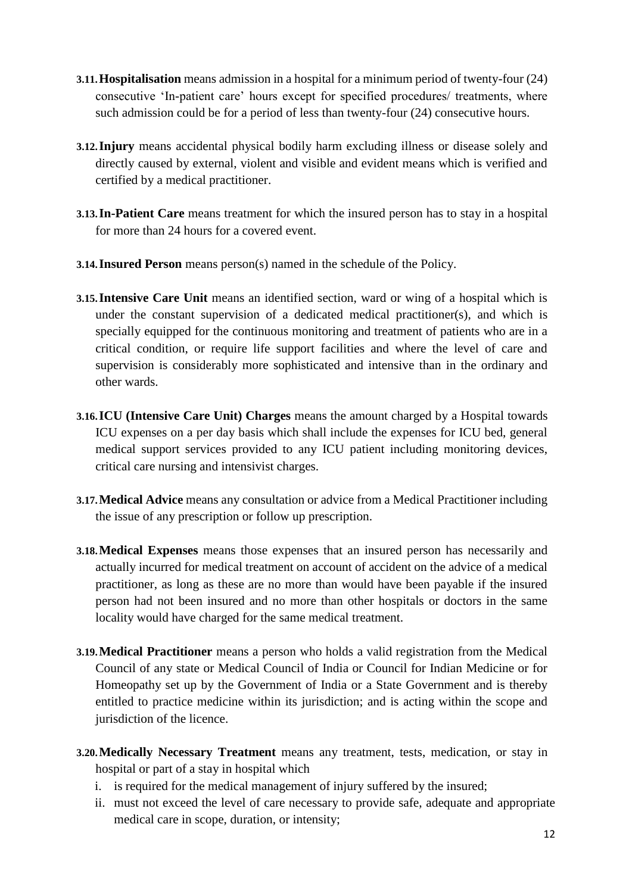- **3.11.Hospitalisation** means admission in a hospital for a minimum period of twenty-four (24) consecutive 'In-patient care' hours except for specified procedures/ treatments, where such admission could be for a period of less than twenty-four (24) consecutive hours.
- **3.12.Injury** means accidental physical bodily harm excluding illness or disease solely and directly caused by external, violent and visible and evident means which is verified and certified by a medical practitioner.
- **3.13.In-Patient Care** means treatment for which the insured person has to stay in a hospital for more than 24 hours for a covered event.
- **3.14.Insured Person** means person(s) named in the schedule of the Policy.
- **3.15.** Intensive Care Unit means an identified section, ward or wing of a hospital which is under the constant supervision of a dedicated medical practitioner(s), and which is specially equipped for the continuous monitoring and treatment of patients who are in a critical condition, or require life support facilities and where the level of care and supervision is considerably more sophisticated and intensive than in the ordinary and other wards.
- **3.16.ICU (Intensive Care Unit) Charges** means the amount charged by a Hospital towards ICU expenses on a per day basis which shall include the expenses for ICU bed, general medical support services provided to any ICU patient including monitoring devices, critical care nursing and intensivist charges.
- **3.17.Medical Advice** means any consultation or advice from a Medical Practitioner including the issue of any prescription or follow up prescription.
- **3.18.Medical Expenses** means those expenses that an insured person has necessarily and actually incurred for medical treatment on account of accident on the advice of a medical practitioner, as long as these are no more than would have been payable if the insured person had not been insured and no more than other hospitals or doctors in the same locality would have charged for the same medical treatment.
- **3.19.Medical Practitioner** means a person who holds a valid registration from the Medical Council of any state or Medical Council of India or Council for Indian Medicine or for Homeopathy set up by the Government of India or a State Government and is thereby entitled to practice medicine within its jurisdiction; and is acting within the scope and jurisdiction of the licence.
- **3.20.Medically Necessary Treatment** means any treatment, tests, medication, or stay in hospital or part of a stay in hospital which
	- i. is required for the medical management of injury suffered by the insured;
	- ii. must not exceed the level of care necessary to provide safe, adequate and appropriate medical care in scope, duration, or intensity;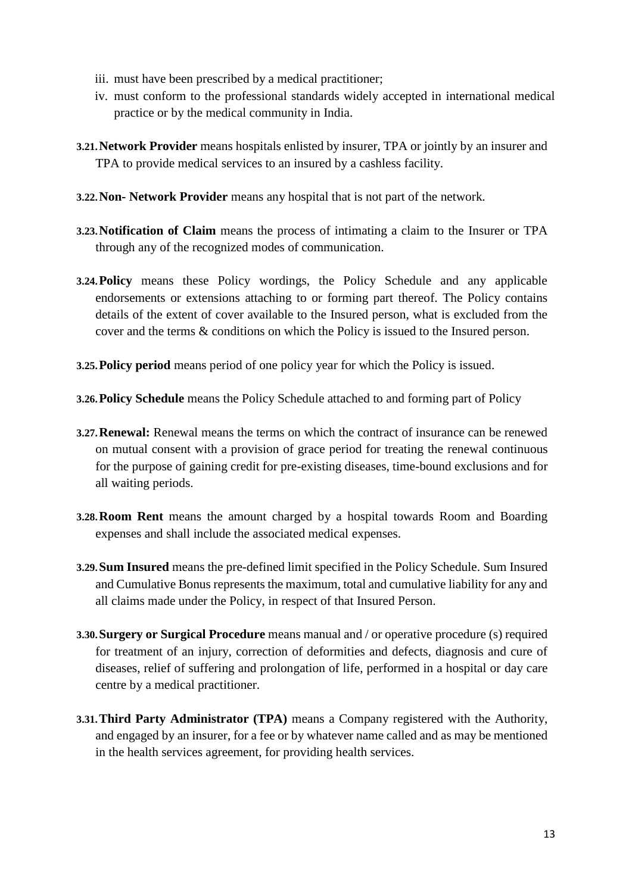- iii. must have been prescribed by a medical practitioner;
- iv. must conform to the professional standards widely accepted in international medical practice or by the medical community in India.
- **3.21.Network Provider** means hospitals enlisted by insurer, TPA or jointly by an insurer and TPA to provide medical services to an insured by a cashless facility.
- **3.22.Non- Network Provider** means any hospital that is not part of the network*.*
- **3.23.Notification of Claim** means the process of intimating a claim to the Insurer or TPA through any of the recognized modes of communication.
- **3.24.Policy** means these Policy wordings, the Policy Schedule and any applicable endorsements or extensions attaching to or forming part thereof. The Policy contains details of the extent of cover available to the Insured person, what is excluded from the cover and the terms & conditions on which the Policy is issued to the Insured person.
- **3.25.Policy period** means period of one policy year for which the Policy is issued.
- **3.26.Policy Schedule** means the Policy Schedule attached to and forming part of Policy
- **3.27.Renewal:** Renewal means the terms on which the contract of insurance can be renewed on mutual consent with a provision of grace period for treating the renewal continuous for the purpose of gaining credit for pre-existing diseases, time-bound exclusions and for all waiting periods.
- **3.28.Room Rent** means the amount charged by a hospital towards Room and Boarding expenses and shall include the associated medical expenses.
- **3.29.Sum Insured** means the pre-defined limit specified in the Policy Schedule. Sum Insured and Cumulative Bonus represents the maximum, total and cumulative liability for any and all claims made under the Policy, in respect of that Insured Person.
- **3.30.Surgery or Surgical Procedure** means manual and / or operative procedure (s) required for treatment of an injury, correction of deformities and defects, diagnosis and cure of diseases, relief of suffering and prolongation of life, performed in a hospital or day care centre by a medical practitioner.
- **3.31.Third Party Administrator (TPA)** means a Company registered with the Authority, and engaged by an insurer, for a fee or by whatever name called and as may be mentioned in the health services agreement, for providing health services.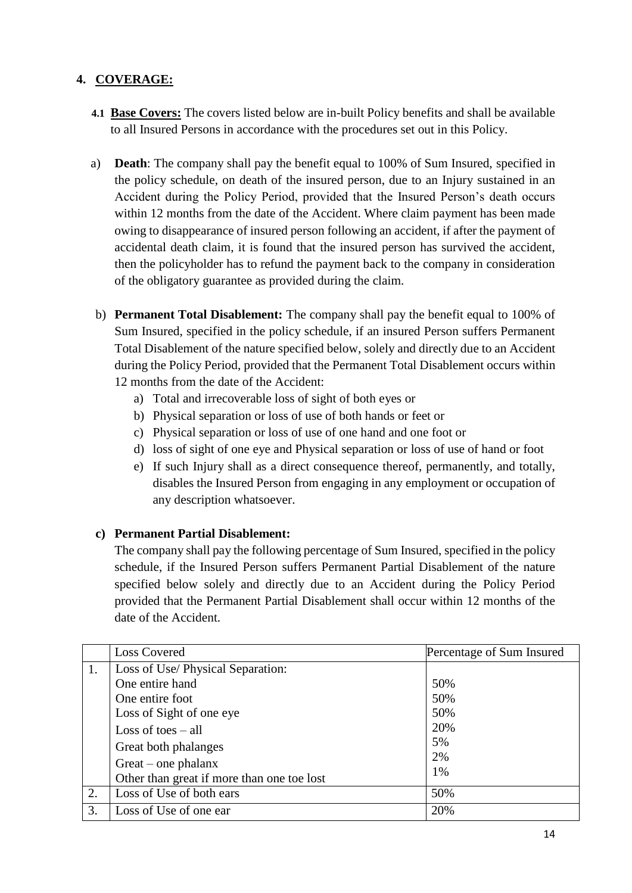## **4. COVERAGE:**

- **4.1 Base Covers:** The covers listed below are in-built Policy benefits and shall be available to all Insured Persons in accordance with the procedures set out in this Policy.
- a) **Death**: The company shall pay the benefit equal to 100% of Sum Insured, specified in the policy schedule, on death of the insured person, due to an Injury sustained in an Accident during the Policy Period, provided that the Insured Person's death occurs within 12 months from the date of the Accident. Where claim payment has been made owing to disappearance of insured person following an accident, if after the payment of accidental death claim, it is found that the insured person has survived the accident, then the policyholder has to refund the payment back to the company in consideration of the obligatory guarantee as provided during the claim.
- b) **Permanent Total Disablement:** The company shall pay the benefit equal to 100% of Sum Insured, specified in the policy schedule, if an insured Person suffers Permanent Total Disablement of the nature specified below, solely and directly due to an Accident during the Policy Period, provided that the Permanent Total Disablement occurs within 12 months from the date of the Accident:
	- a) Total and irrecoverable loss of sight of both eyes or
	- b) Physical separation or loss of use of both hands or feet or
	- c) Physical separation or loss of use of one hand and one foot or
	- d) loss of sight of one eye and Physical separation or loss of use of hand or foot
	- e) If such Injury shall as a direct consequence thereof, permanently, and totally, disables the Insured Person from engaging in any employment or occupation of any description whatsoever.

#### **c) Permanent Partial Disablement:**

The company shall pay the following percentage of Sum Insured, specified in the policy schedule, if the Insured Person suffers Permanent Partial Disablement of the nature specified below solely and directly due to an Accident during the Policy Period provided that the Permanent Partial Disablement shall occur within 12 months of the date of the Accident.

|    | <b>Loss Covered</b>                                                                                                                                                          | Percentage of Sum Insured                  |
|----|------------------------------------------------------------------------------------------------------------------------------------------------------------------------------|--------------------------------------------|
| 1. | Loss of Use/ Physical Separation:<br>One entire hand<br>One entire foot<br>Loss of Sight of one eye<br>Loss of toes $-$ all<br>Great both phalanges<br>$Great - one phalanx$ | 50%<br>50%<br>50%<br>20%<br>5%<br>2%<br>1% |
| 2. | Other than great if more than one toe lost<br>Loss of Use of both ears                                                                                                       | 50%                                        |
| 3. | Loss of Use of one ear                                                                                                                                                       | 20%                                        |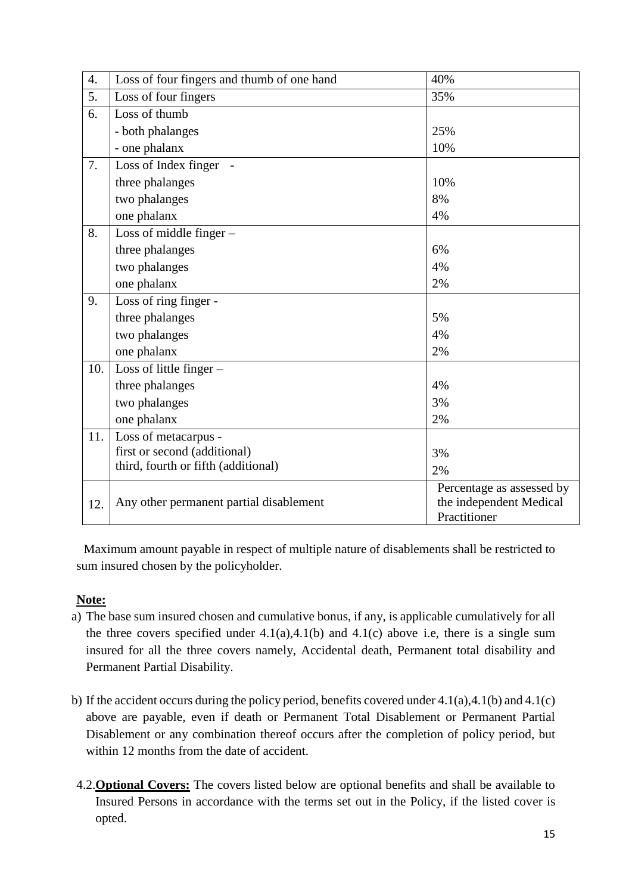| 4.  | Loss of four fingers and thumb of one hand | 40%                       |
|-----|--------------------------------------------|---------------------------|
| 5.  | Loss of four fingers                       | 35%                       |
| 6.  | Loss of thumb                              |                           |
|     | - both phalanges                           | 25%                       |
|     | - one phalanx                              | 10%                       |
| 7.  | Loss of Index finger -                     |                           |
|     | three phalanges                            | 10%                       |
|     | two phalanges                              | 8%                        |
|     | one phalanx                                | 4%                        |
| 8.  | Loss of middle finger $-$                  |                           |
|     | three phalanges                            | 6%                        |
|     | two phalanges                              | 4%                        |
|     | one phalanx                                | 2%                        |
| 9.  | Loss of ring finger -                      |                           |
|     | three phalanges                            | 5%                        |
|     | two phalanges                              | 4%                        |
|     | one phalanx                                | 2%                        |
| 10. | Loss of little finger -                    |                           |
|     | three phalanges                            | 4%                        |
|     | two phalanges                              | 3%                        |
|     | one phalanx                                | 2%                        |
| 11. | Loss of metacarpus -                       |                           |
|     | first or second (additional)               | 3%                        |
|     | third, fourth or fifth (additional)        | 2%                        |
|     |                                            | Percentage as assessed by |
| 12. | Any other permanent partial disablement    | the independent Medical   |
|     |                                            | Practitioner              |

 Maximum amount payable in respect of multiple nature of disablements shall be restricted to sum insured chosen by the policyholder.

#### **Note:**

- a) The base sum insured chosen and cumulative bonus, if any, is applicable cumulatively for all the three covers specified under  $4.1(a), 4.1(b)$  and  $4.1(c)$  above i.e, there is a single sum insured for all the three covers namely, Accidental death, Permanent total disability and Permanent Partial Disability.
- b) If the accident occurs during the policy period, benefits covered under 4.1(a),4.1(b) and 4.1(c) above are payable, even if death or Permanent Total Disablement or Permanent Partial Disablement or any combination thereof occurs after the completion of policy period, but within 12 months from the date of accident.
- 4.2.**Optional Covers:** The covers listed below are optional benefits and shall be available to Insured Persons in accordance with the terms set out in the Policy, if the listed cover is opted.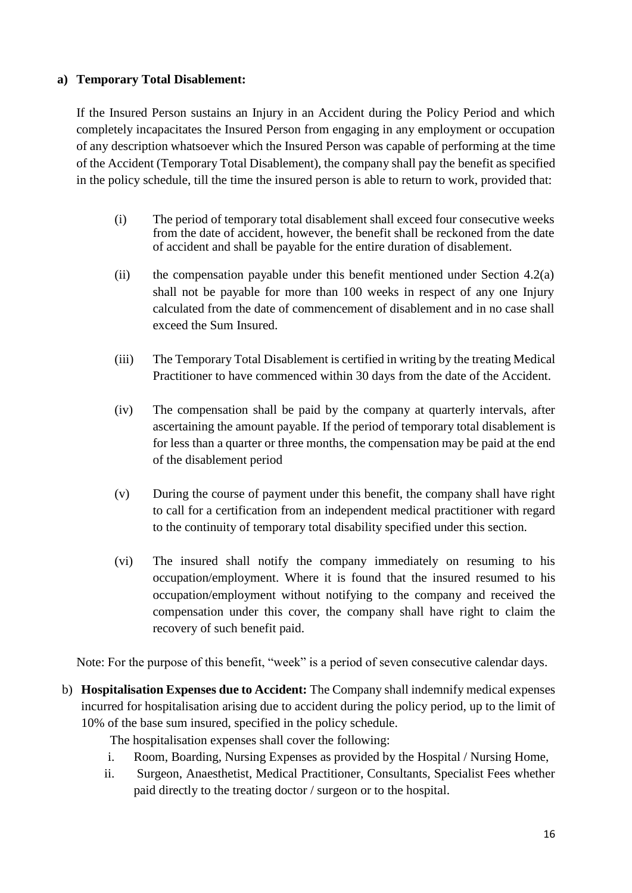#### **a) Temporary Total Disablement:**

If the Insured Person sustains an Injury in an Accident during the Policy Period and which completely incapacitates the Insured Person from engaging in any employment or occupation of any description whatsoever which the Insured Person was capable of performing at the time of the Accident (Temporary Total Disablement), the company shall pay the benefit as specified in the policy schedule, till the time the insured person is able to return to work, provided that:

- (i) The period of temporary total disablement shall exceed four consecutive weeks from the date of accident, however, the benefit shall be reckoned from the date of accident and shall be payable for the entire duration of disablement.
- (ii) the compensation payable under this benefit mentioned under Section 4.2(a) shall not be payable for more than 100 weeks in respect of any one Injury calculated from the date of commencement of disablement and in no case shall exceed the Sum Insured.
- (iii) The Temporary Total Disablement is certified in writing by the treating Medical Practitioner to have commenced within 30 days from the date of the Accident.
- (iv) The compensation shall be paid by the company at quarterly intervals, after ascertaining the amount payable. If the period of temporary total disablement is for less than a quarter or three months, the compensation may be paid at the end of the disablement period
- (v) During the course of payment under this benefit, the company shall have right to call for a certification from an independent medical practitioner with regard to the continuity of temporary total disability specified under this section.
- (vi) The insured shall notify the company immediately on resuming to his occupation/employment. Where it is found that the insured resumed to his occupation/employment without notifying to the company and received the compensation under this cover, the company shall have right to claim the recovery of such benefit paid.

Note: For the purpose of this benefit, "week" is a period of seven consecutive calendar days.

b) **Hospitalisation Expenses due to Accident:** The Company shall indemnify medical expenses incurred for hospitalisation arising due to accident during the policy period, up to the limit of 10% of the base sum insured, specified in the policy schedule.

The hospitalisation expenses shall cover the following:

- i. Room, Boarding, Nursing Expenses as provided by the Hospital / Nursing Home,
- ii. Surgeon, Anaesthetist, Medical Practitioner, Consultants, Specialist Fees whether paid directly to the treating doctor / surgeon or to the hospital.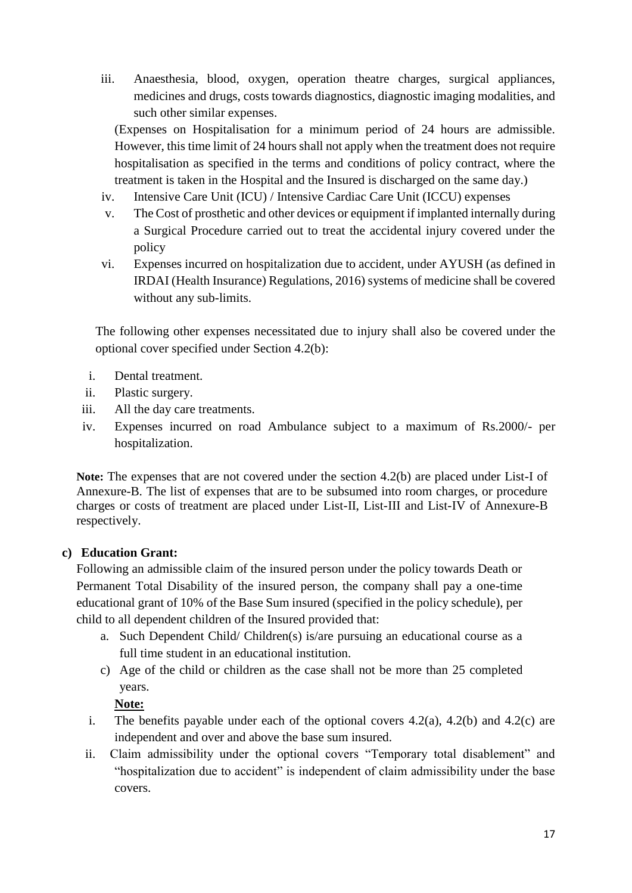iii. Anaesthesia, blood, oxygen, operation theatre charges, surgical appliances, medicines and drugs, costs towards diagnostics, diagnostic imaging modalities, and such other similar expenses.

(Expenses on Hospitalisation for a minimum period of 24 hours are admissible. However, this time limit of 24 hours shall not apply when the treatment does not require hospitalisation as specified in the terms and conditions of policy contract, where the treatment is taken in the Hospital and the Insured is discharged on the same day.)

- iv. Intensive Care Unit (ICU) / Intensive Cardiac Care Unit (ICCU) expenses
- v. The Cost of prosthetic and other devices or equipment if implanted internally during a Surgical Procedure carried out to treat the accidental injury covered under the policy
- vi. Expenses incurred on hospitalization due to accident, under AYUSH (as defined in IRDAI (Health Insurance) Regulations, 2016) systems of medicine shall be covered without any sub-limits.

The following other expenses necessitated due to injury shall also be covered under the optional cover specified under Section 4.2(b):

- i. Dental treatment.
- ii. Plastic surgery.
- iii. All the day care treatments.
- iv. Expenses incurred on road Ambulance subject to a maximum of Rs.2000/- per hospitalization.

**Note:** The expenses that are not covered under the section 4.2(b) are placed under List-I of Annexure-B. The list of expenses that are to be subsumed into room charges, or procedure charges or costs of treatment are placed under List-II, List-III and List-IV of Annexure-B respectively.

#### **c) Education Grant:**

Following an admissible claim of the insured person under the policy towards Death or Permanent Total Disability of the insured person, the company shall pay a one-time educational grant of 10% of the Base Sum insured (specified in the policy schedule), per child to all dependent children of the Insured provided that:

- a. Such Dependent Child/ Children(s) is/are pursuing an educational course as a full time student in an educational institution.
- c) Age of the child or children as the case shall not be more than 25 completed years.

#### **Note:**

- i. The benefits payable under each of the optional covers  $4.2(a)$ ,  $4.2(b)$  and  $4.2(c)$  are independent and over and above the base sum insured.
- ii. Claim admissibility under the optional covers "Temporary total disablement" and "hospitalization due to accident" is independent of claim admissibility under the base covers.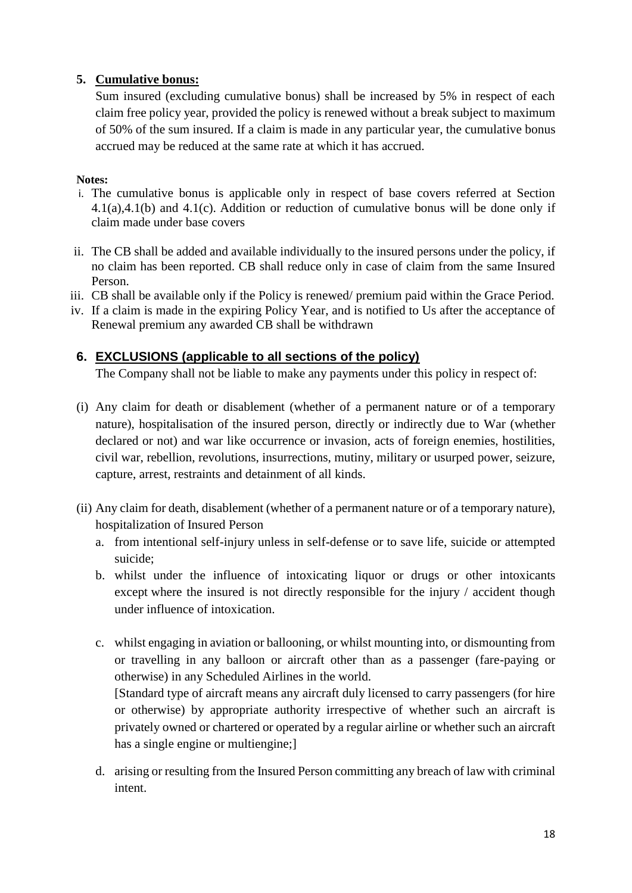### **5. Cumulative bonus:**

Sum insured (excluding cumulative bonus) shall be increased by 5% in respect of each claim free policy year, provided the policy is renewed without a break subject to maximum of 50% of the sum insured. If a claim is made in any particular year, the cumulative bonus accrued may be reduced at the same rate at which it has accrued.

#### **Notes:**

- i. The cumulative bonus is applicable only in respect of base covers referred at Section 4.1(a),4.1(b) and 4.1(c). Addition or reduction of cumulative bonus will be done only if claim made under base covers
- ii. The CB shall be added and available individually to the insured persons under the policy, if no claim has been reported. CB shall reduce only in case of claim from the same Insured Person.
- iii. CB shall be available only if the Policy is renewed/ premium paid within the Grace Period.
- iv. If a claim is made in the expiring Policy Year, and is notified to Us after the acceptance of Renewal premium any awarded CB shall be withdrawn

## **6. EXCLUSIONS (applicable to all sections of the policy)**

The Company shall not be liable to make any payments under this policy in respect of:

- (i) Any claim for death or disablement (whether of a permanent nature or of a temporary nature), hospitalisation of the insured person, directly or indirectly due to War (whether declared or not) and war like occurrence or invasion, acts of foreign enemies, hostilities, civil war, rebellion, revolutions, insurrections, mutiny, military or usurped power, seizure, capture, arrest, restraints and detainment of all kinds.
- (ii) Any claim for death, disablement (whether of a permanent nature or of a temporary nature), hospitalization of Insured Person
	- a. from intentional self-injury unless in self-defense or to save life, suicide or attempted suicide;
	- b. whilst under the influence of intoxicating liquor or drugs or other intoxicants except where the insured is not directly responsible for the injury / accident though under influence of intoxication.
	- c. whilst engaging in aviation or ballooning, or whilst mounting into, or dismounting from or travelling in any balloon or aircraft other than as a passenger (fare-paying or otherwise) in any Scheduled Airlines in the world. [Standard type of aircraft means any aircraft duly licensed to carry passengers (for hire

or otherwise) by appropriate authority irrespective of whether such an aircraft is privately owned or chartered or operated by a regular airline or whether such an aircraft has a single engine or multiengine;]

d. arising or resulting from the Insured Person committing any breach of law with criminal intent.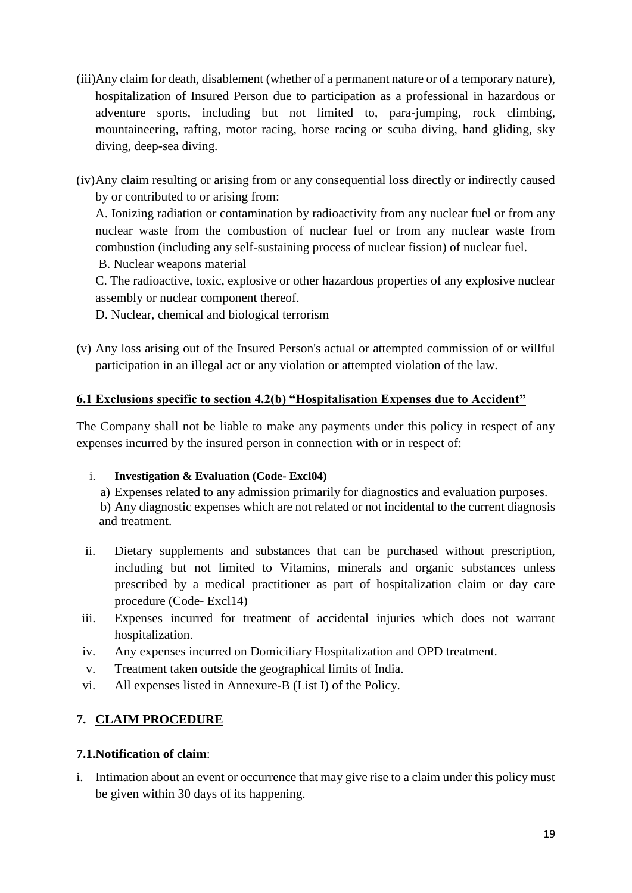- (iii)Any claim for death, disablement (whether of a permanent nature or of a temporary nature), hospitalization of Insured Person due to participation as a professional in hazardous or adventure sports, including but not limited to, para-jumping, rock climbing, mountaineering, rafting, motor racing, horse racing or scuba diving, hand gliding, sky diving, deep-sea diving.
- (iv)Any claim resulting or arising from or any consequential loss directly or indirectly caused by or contributed to or arising from:

A. Ionizing radiation or contamination by radioactivity from any nuclear fuel or from any nuclear waste from the combustion of nuclear fuel or from any nuclear waste from combustion (including any self-sustaining process of nuclear fission) of nuclear fuel.

B. Nuclear weapons material

C. The radioactive, toxic, explosive or other hazardous properties of any explosive nuclear assembly or nuclear component thereof.

D. Nuclear, chemical and biological terrorism

(v) Any loss arising out of the Insured Person's actual or attempted commission of or willful participation in an illegal act or any violation or attempted violation of the law.

## **6.1 Exclusions specific to section 4.2(b) "Hospitalisation Expenses due to Accident"**

The Company shall not be liable to make any payments under this policy in respect of any expenses incurred by the insured person in connection with or in respect of:

#### i. **Investigation & Evaluation (Code- Excl04)**

a) Expenses related to any admission primarily for diagnostics and evaluation purposes. b) Any diagnostic expenses which are not related or not incidental to the current diagnosis and treatment.

- ii. Dietary supplements and substances that can be purchased without prescription, including but not limited to Vitamins, minerals and organic substances unless prescribed by a medical practitioner as part of hospitalization claim or day care procedure (Code- Excl14)
- iii. Expenses incurred for treatment of accidental injuries which does not warrant hospitalization.
- iv. Any expenses incurred on Domiciliary Hospitalization and OPD treatment.
- v. Treatment taken outside the geographical limits of India.
- vi. All expenses listed in Annexure-B (List I) of the Policy.

## **7. CLAIM PROCEDURE**

## **7.1.Notification of claim**:

i. Intimation about an event or occurrence that may give rise to a claim under this policy must be given within 30 days of its happening.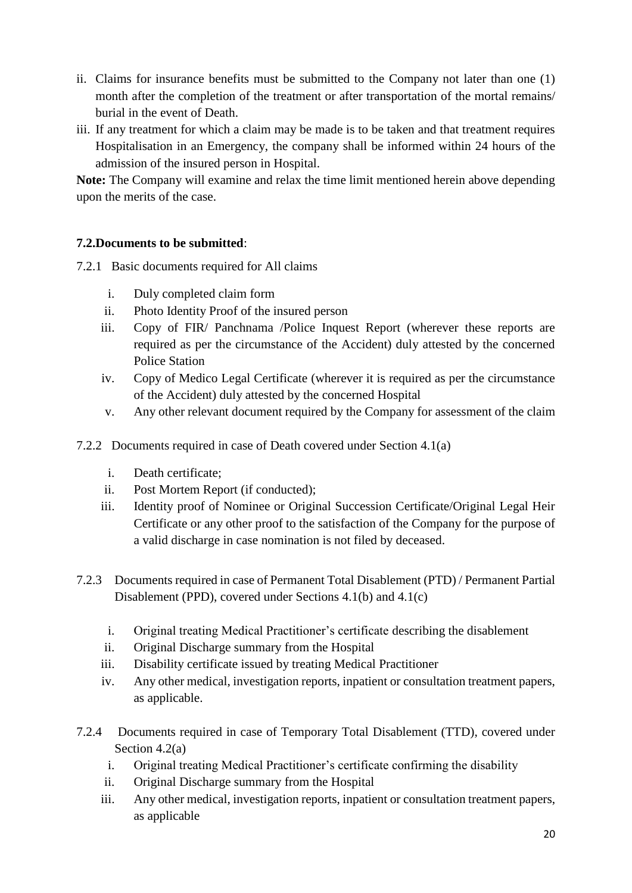- ii. Claims for insurance benefits must be submitted to the Company not later than one (1) month after the completion of the treatment or after transportation of the mortal remains/ burial in the event of Death.
- iii. If any treatment for which a claim may be made is to be taken and that treatment requires Hospitalisation in an Emergency, the company shall be informed within 24 hours of the admission of the insured person in Hospital.

**Note:** The Company will examine and relax the time limit mentioned herein above depending upon the merits of the case.

## **7.2.Documents to be submitted**:

- 7.2.1 Basic documents required for All claims
	- i. Duly completed claim form
	- ii. Photo Identity Proof of the insured person
	- iii. Copy of FIR/ Panchnama /Police Inquest Report (wherever these reports are required as per the circumstance of the Accident) duly attested by the concerned Police Station
	- iv. Copy of Medico Legal Certificate (wherever it is required as per the circumstance of the Accident) duly attested by the concerned Hospital
	- v. Any other relevant document required by the Company for assessment of the claim
- 7.2.2 Documents required in case of Death covered under Section 4.1(a)
	- i. Death certificate;
	- ii. Post Mortem Report (if conducted);
	- iii. Identity proof of Nominee or Original Succession Certificate/Original Legal Heir Certificate or any other proof to the satisfaction of the Company for the purpose of a valid discharge in case nomination is not filed by deceased.
- 7.2.3 Documents required in case of Permanent Total Disablement (PTD) / Permanent Partial Disablement (PPD), covered under Sections 4.1(b) and 4.1(c)
	- i. Original treating Medical Practitioner's certificate describing the disablement
	- ii. Original Discharge summary from the Hospital
	- iii. Disability certificate issued by treating Medical Practitioner
	- iv. Any other medical, investigation reports, inpatient or consultation treatment papers, as applicable.
- 7.2.4 Documents required in case of Temporary Total Disablement (TTD), covered under Section 4.2(a)
	- i. Original treating Medical Practitioner's certificate confirming the disability
	- ii. Original Discharge summary from the Hospital
	- iii. Any other medical, investigation reports, inpatient or consultation treatment papers, as applicable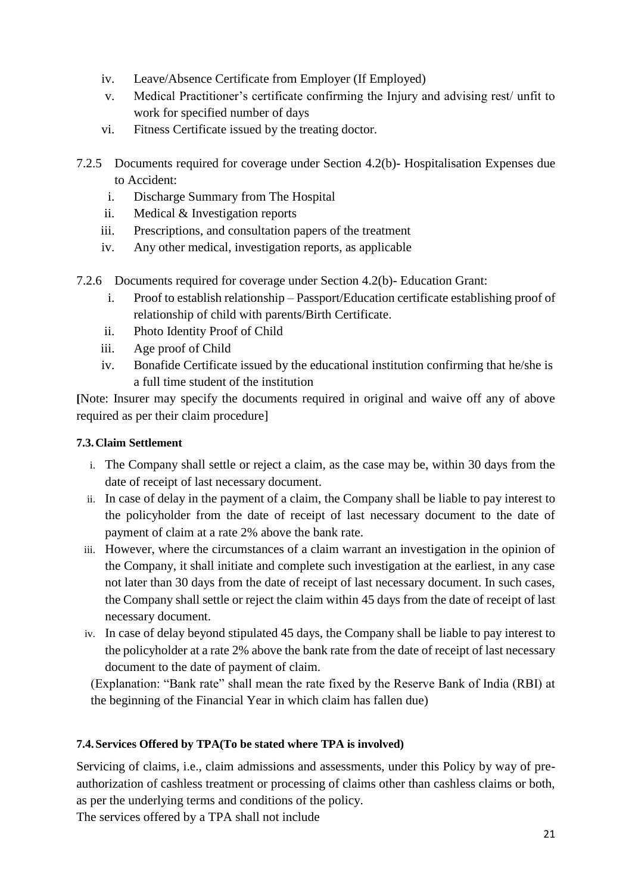- iv. Leave/Absence Certificate from Employer (If Employed)
- v. Medical Practitioner's certificate confirming the Injury and advising rest/ unfit to work for specified number of days
- vi. Fitness Certificate issued by the treating doctor.
- 7.2.5 Documents required for coverage under Section 4.2(b)- Hospitalisation Expenses due to Accident:
	- i. Discharge Summary from The Hospital
	- ii. Medical & Investigation reports
	- iii. Prescriptions, and consultation papers of the treatment
	- iv. Any other medical, investigation reports, as applicable
- 7.2.6 Documents required for coverage under Section 4.2(b)- Education Grant:
	- i. Proof to establish relationship Passport/Education certificate establishing proof of relationship of child with parents/Birth Certificate.
	- ii. Photo Identity Proof of Child
	- iii. Age proof of Child
	- iv. Bonafide Certificate issued by the educational institution confirming that he/she is a full time student of the institution

**[**Note: Insurer may specify the documents required in original and waive off any of above required as per their claim procedure]

### **7.3.Claim Settlement**

- i. The Company shall settle or reject a claim, as the case may be, within 30 days from the date of receipt of last necessary document.
- ii. In case of delay in the payment of a claim, the Company shall be liable to pay interest to the policyholder from the date of receipt of last necessary document to the date of payment of claim at a rate 2% above the bank rate.
- iii. However, where the circumstances of a claim warrant an investigation in the opinion of the Company, it shall initiate and complete such investigation at the earliest, in any case not later than 30 days from the date of receipt of last necessary document. In such cases, the Company shall settle or reject the claim within 45 days from the date of receipt of last necessary document.
- iv. In case of delay beyond stipulated 45 days, the Company shall be liable to pay interest to the policyholder at a rate 2% above the bank rate from the date of receipt of last necessary document to the date of payment of claim.

(Explanation: "Bank rate" shall mean the rate fixed by the Reserve Bank of India (RBI) at the beginning of the Financial Year in which claim has fallen due)

## **7.4.Services Offered by TPA(To be stated where TPA is involved)**

Servicing of claims, i.e., claim admissions and assessments, under this Policy by way of preauthorization of cashless treatment or processing of claims other than cashless claims or both, as per the underlying terms and conditions of the policy.

The services offered by a TPA shall not include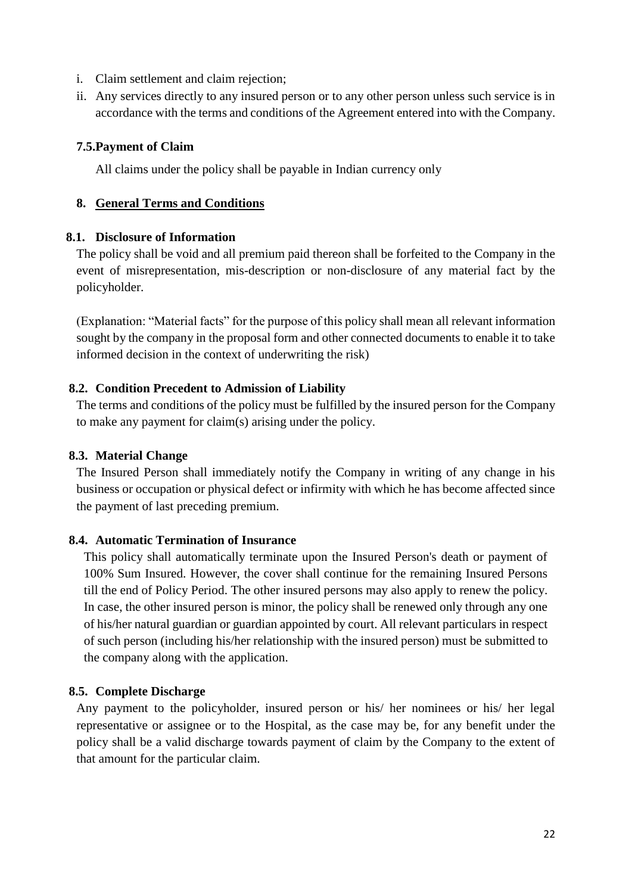- i. Claim settlement and claim rejection;
- ii. Any services directly to any insured person or to any other person unless such service is in accordance with the terms and conditions of the Agreement entered into with the Company.

#### **7.5.Payment of Claim**

All claims under the policy shall be payable in Indian currency only

#### **8. General Terms and Conditions**

#### **8.1. Disclosure of Information**

The policy shall be void and all premium paid thereon shall be forfeited to the Company in the event of misrepresentation, mis-description or non-disclosure of any material fact by the policyholder.

(Explanation: "Material facts" for the purpose of this policy shall mean all relevant information sought by the company in the proposal form and other connected documents to enable it to take informed decision in the context of underwriting the risk)

#### **8.2. Condition Precedent to Admission of Liability**

The terms and conditions of the policy must be fulfilled by the insured person for the Company to make any payment for claim(s) arising under the policy.

#### **8.3. Material Change**

The Insured Person shall immediately notify the Company in writing of any change in his business or occupation or physical defect or infirmity with which he has become affected since the payment of last preceding premium.

#### **8.4. Automatic Termination of Insurance**

This policy shall automatically terminate upon the Insured Person's death or payment of 100% Sum Insured. However, the cover shall continue for the remaining Insured Persons till the end of Policy Period. The other insured persons may also apply to renew the policy. In case, the other insured person is minor, the policy shall be renewed only through any one of his/her natural guardian or guardian appointed by court. All relevant particulars in respect of such person (including his/her relationship with the insured person) must be submitted to the company along with the application.

#### **8.5. Complete Discharge**

Any payment to the policyholder, insured person or his/ her nominees or his/ her legal representative or assignee or to the Hospital, as the case may be, for any benefit under the policy shall be a valid discharge towards payment of claim by the Company to the extent of that amount for the particular claim.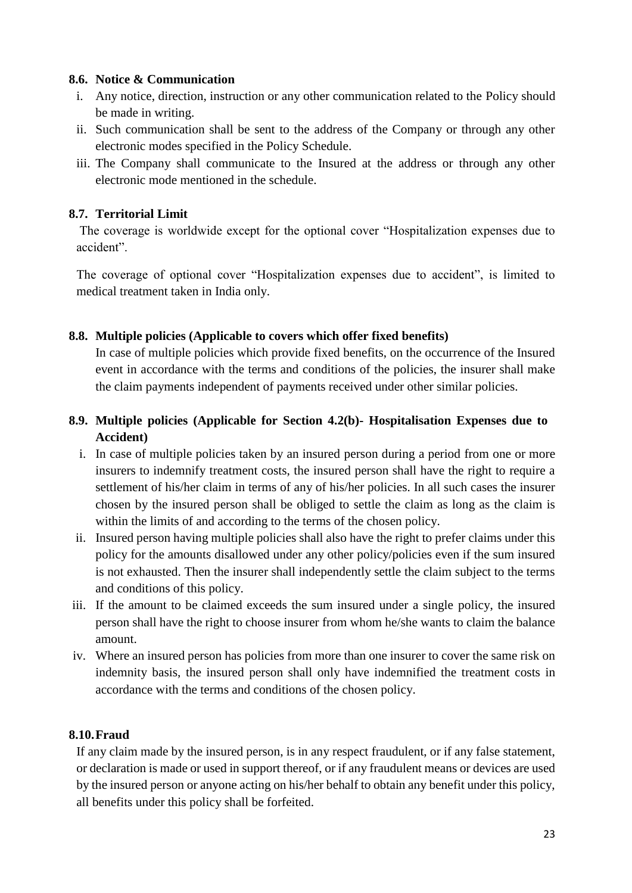#### **8.6. Notice & Communication**

- i. Any notice, direction, instruction or any other communication related to the Policy should be made in writing.
- ii. Such communication shall be sent to the address of the Company or through any other electronic modes specified in the Policy Schedule.
- iii. The Company shall communicate to the Insured at the address or through any other electronic mode mentioned in the schedule.

#### **8.7. Territorial Limit**

The coverage is worldwide except for the optional cover "Hospitalization expenses due to accident".

The coverage of optional cover "Hospitalization expenses due to accident", is limited to medical treatment taken in India only.

### **8.8. Multiple policies (Applicable to covers which offer fixed benefits)**

In case of multiple policies which provide fixed benefits, on the occurrence of the Insured event in accordance with the terms and conditions of the policies, the insurer shall make the claim payments independent of payments received under other similar policies.

## **8.9. Multiple policies (Applicable for Section 4.2(b)- Hospitalisation Expenses due to Accident)**

- i. In case of multiple policies taken by an insured person during a period from one or more insurers to indemnify treatment costs, the insured person shall have the right to require a settlement of his/her claim in terms of any of his/her policies. In all such cases the insurer chosen by the insured person shall be obliged to settle the claim as long as the claim is within the limits of and according to the terms of the chosen policy.
- ii. Insured person having multiple policies shall also have the right to prefer claims under this policy for the amounts disallowed under any other policy/policies even if the sum insured is not exhausted. Then the insurer shall independently settle the claim subject to the terms and conditions of this policy.
- iii. If the amount to be claimed exceeds the sum insured under a single policy, the insured person shall have the right to choose insurer from whom he/she wants to claim the balance amount.
- iv. Where an insured person has policies from more than one insurer to cover the same risk on indemnity basis, the insured person shall only have indemnified the treatment costs in accordance with the terms and conditions of the chosen policy.

#### **8.10.Fraud**

If any claim made by the insured person, is in any respect fraudulent, or if any false statement, or declaration is made or used in support thereof, or if any fraudulent means or devices are used by the insured person or anyone acting on his/her behalf to obtain any benefit under this policy, all benefits under this policy shall be forfeited.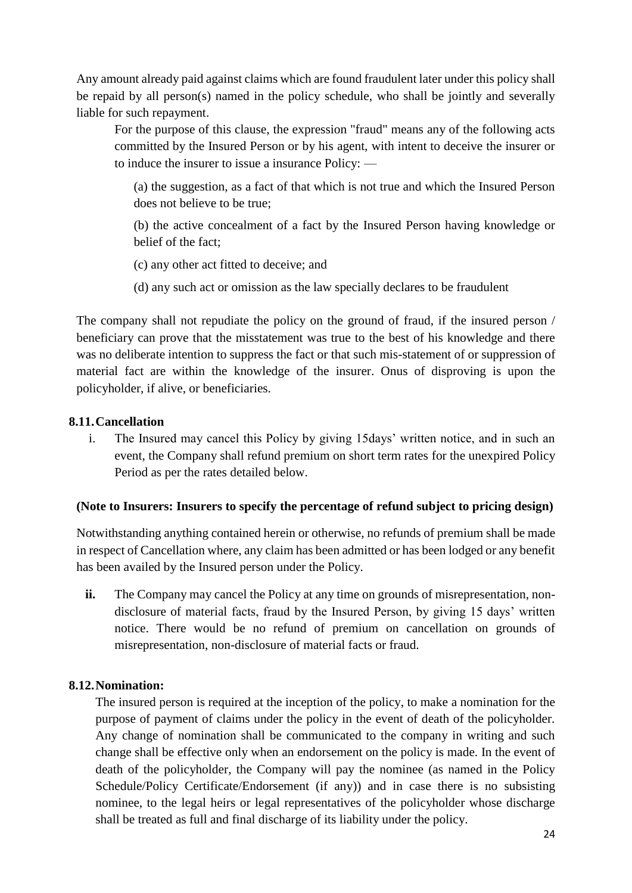Any amount already paid against claims which are found fraudulent later under this policy shall be repaid by all person(s) named in the policy schedule, who shall be jointly and severally liable for such repayment.

For the purpose of this clause, the expression "fraud" means any of the following acts committed by the Insured Person or by his agent, with intent to deceive the insurer or to induce the insurer to issue a insurance Policy: —

(a) the suggestion, as a fact of that which is not true and which the Insured Person does not believe to be true;

(b) the active concealment of a fact by the Insured Person having knowledge or belief of the fact;

(c) any other act fitted to deceive; and

(d) any such act or omission as the law specially declares to be fraudulent

The company shall not repudiate the policy on the ground of fraud, if the insured person / beneficiary can prove that the misstatement was true to the best of his knowledge and there was no deliberate intention to suppress the fact or that such mis-statement of or suppression of material fact are within the knowledge of the insurer. Onus of disproving is upon the policyholder, if alive, or beneficiaries.

#### **8.11.Cancellation**

i. The Insured may cancel this Policy by giving 15days' written notice, and in such an event, the Company shall refund premium on short term rates for the unexpired Policy Period as per the rates detailed below.

#### **(Note to Insurers: Insurers to specify the percentage of refund subject to pricing design)**

Notwithstanding anything contained herein or otherwise, no refunds of premium shall be made in respect of Cancellation where, any claim has been admitted or has been lodged or any benefit has been availed by the Insured person under the Policy.

ii. The Company may cancel the Policy at any time on grounds of misrepresentation, nondisclosure of material facts, fraud by the Insured Person, by giving 15 days' written notice. There would be no refund of premium on cancellation on grounds of misrepresentation, non-disclosure of material facts or fraud.

#### **8.12.Nomination:**

The insured person is required at the inception of the policy, to make a nomination for the purpose of payment of claims under the policy in the event of death of the policyholder. Any change of nomination shall be communicated to the company in writing and such change shall be effective only when an endorsement on the policy is made. In the event of death of the policyholder, the Company will pay the nominee (as named in the Policy Schedule/Policy Certificate/Endorsement (if any)) and in case there is no subsisting nominee, to the legal heirs or legal representatives of the policyholder whose discharge shall be treated as full and final discharge of its liability under the policy.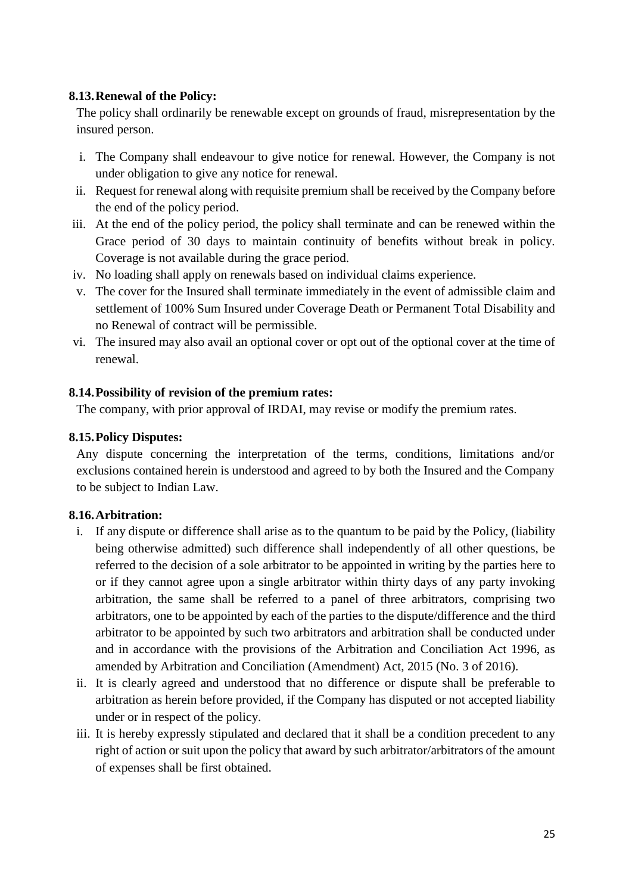#### **8.13.Renewal of the Policy:**

The policy shall ordinarily be renewable except on grounds of fraud, misrepresentation by the insured person.

- i. The Company shall endeavour to give notice for renewal. However, the Company is not under obligation to give any notice for renewal.
- ii. Request for renewal along with requisite premium shall be received by the Company before the end of the policy period.
- iii. At the end of the policy period, the policy shall terminate and can be renewed within the Grace period of 30 days to maintain continuity of benefits without break in policy. Coverage is not available during the grace period.
- iv. No loading shall apply on renewals based on individual claims experience.
- v. The cover for the Insured shall terminate immediately in the event of admissible claim and settlement of 100% Sum Insured under Coverage Death or Permanent Total Disability and no Renewal of contract will be permissible.
- vi. The insured may also avail an optional cover or opt out of the optional cover at the time of renewal.

#### **8.14.Possibility of revision of the premium rates:**

The company, with prior approval of IRDAI, may revise or modify the premium rates.

#### **8.15.Policy Disputes:**

Any dispute concerning the interpretation of the terms, conditions, limitations and/or exclusions contained herein is understood and agreed to by both the Insured and the Company to be subject to Indian Law.

#### **8.16.Arbitration:**

- i. If any dispute or difference shall arise as to the quantum to be paid by the Policy, (liability being otherwise admitted) such difference shall independently of all other questions, be referred to the decision of a sole arbitrator to be appointed in writing by the parties here to or if they cannot agree upon a single arbitrator within thirty days of any party invoking arbitration, the same shall be referred to a panel of three arbitrators, comprising two arbitrators, one to be appointed by each of the parties to the dispute/difference and the third arbitrator to be appointed by such two arbitrators and arbitration shall be conducted under and in accordance with the provisions of the Arbitration and Conciliation Act 1996, as amended by Arbitration and Conciliation (Amendment) Act, 2015 (No. 3 of 2016).
- ii. It is clearly agreed and understood that no difference or dispute shall be preferable to arbitration as herein before provided, if the Company has disputed or not accepted liability under or in respect of the policy.
- iii. It is hereby expressly stipulated and declared that it shall be a condition precedent to any right of action or suit upon the policy that award by such arbitrator/arbitrators of the amount of expenses shall be first obtained.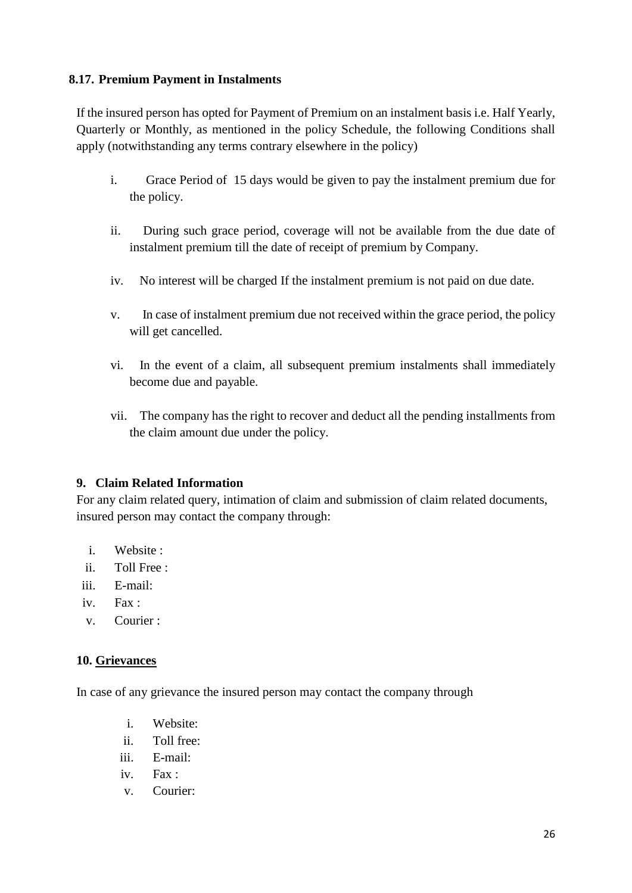### **8.17. Premium Payment in Instalments**

If the insured person has opted for Payment of Premium on an instalment basis i.e. Half Yearly, Quarterly or Monthly, as mentioned in the policy Schedule, the following Conditions shall apply (notwithstanding any terms contrary elsewhere in the policy)

- i. Grace Period of 15 days would be given to pay the instalment premium due for the policy.
- ii. During such grace period, coverage will not be available from the due date of instalment premium till the date of receipt of premium by Company.
- iv. No interest will be charged If the instalment premium is not paid on due date.
- v. In case of instalment premium due not received within the grace period, the policy will get cancelled.
- vi. In the event of a claim, all subsequent premium instalments shall immediately become due and payable.
- vii. The company has the right to recover and deduct all the pending installments from the claim amount due under the policy.

#### **9. Claim Related Information**

For any claim related query, intimation of claim and submission of claim related documents, insured person may contact the company through:

- i. Website :
- ii. Toll Free :
- iii. E-mail:
- iv. Fax :
- v. Courier :

## **10. Grievances**

In case of any grievance the insured person may contact the company through

- i. Website:
- ii. Toll free:
- iii. E-mail:
- iv. Fax :
- v. Courier: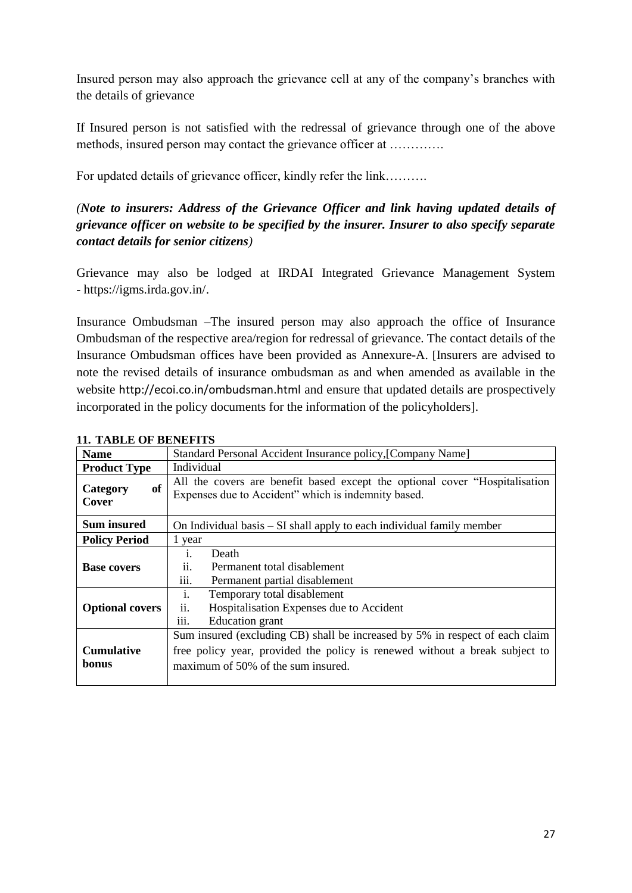Insured person may also approach the grievance cell at any of the company's branches with the details of grievance

If Insured person is not satisfied with the redressal of grievance through one of the above methods, insured person may contact the grievance officer at ………….

For updated details of grievance officer, kindly refer the link……….

## *(Note to insurers: Address of the Grievance Officer and link having updated details of grievance officer on website to be specified by the insurer. Insurer to also specify separate contact details for senior citizens)*

Grievance may also be lodged at IRDAI Integrated Grievance Management System - [https://igms.irda.gov.in/.](https://igms.irda.gov.in/)

Insurance Ombudsman –The insured person may also approach the office of Insurance Ombudsman of the respective area/region for redressal of grievance. The contact details of the Insurance Ombudsman offices have been provided as Annexure-A. [Insurers are advised to note the revised details of insurance ombudsman as and when amended as available in the website <http://ecoi.co.in/ombudsman.html> and ensure that updated details are prospectively incorporated in the policy documents for the information of the policyholders].

| II. TADLE UF DENEFITS      |                                                                                                                                                                                                   |  |  |  |
|----------------------------|---------------------------------------------------------------------------------------------------------------------------------------------------------------------------------------------------|--|--|--|
| <b>Name</b>                | Standard Personal Accident Insurance policy, [Company Name]                                                                                                                                       |  |  |  |
| <b>Product Type</b>        | Individual                                                                                                                                                                                        |  |  |  |
| of<br>Category<br>Cover    | All the covers are benefit based except the optional cover "Hospitalisation<br>Expenses due to Accident" which is indemnity based.                                                                |  |  |  |
| Sum insured                | On Individual basis – SI shall apply to each individual family member                                                                                                                             |  |  |  |
| <b>Policy Period</b>       | 1 year                                                                                                                                                                                            |  |  |  |
| <b>Base covers</b>         | Death<br>$\mathbf{1}$ .<br>Permanent total disablement<br>11.<br>Permanent partial disablement<br>111.                                                                                            |  |  |  |
| <b>Optional covers</b>     | Temporary total disablement<br>1.<br>ii.<br>Hospitalisation Expenses due to Accident<br><b>Education</b> grant<br>111.                                                                            |  |  |  |
| <b>Cumulative</b><br>bonus | Sum insured (excluding CB) shall be increased by 5% in respect of each claim<br>free policy year, provided the policy is renewed without a break subject to<br>maximum of 50% of the sum insured. |  |  |  |

#### **11. TABLE OF BENEFITS**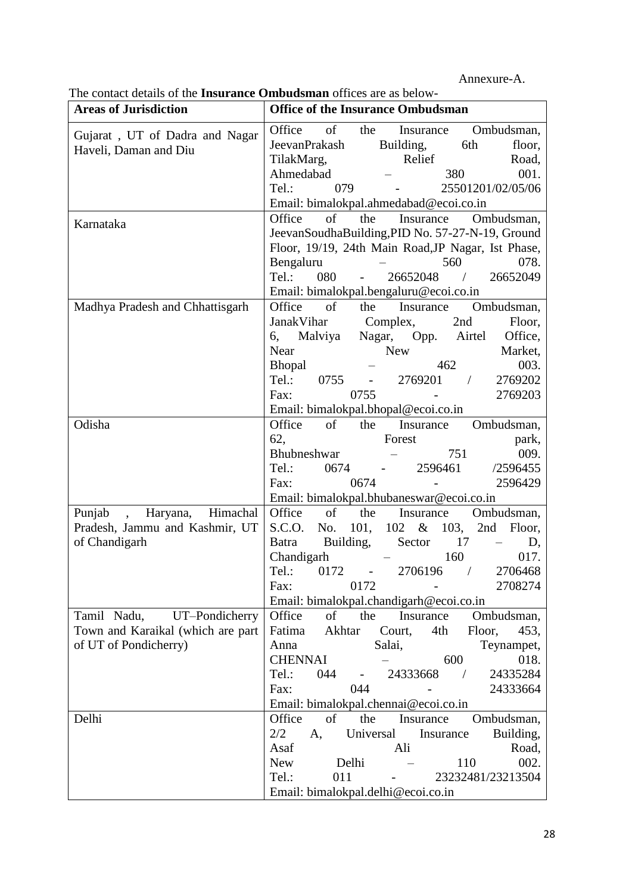Annexure-A.

| <b>Areas of Jurisdiction</b>      | <b>Office of the Insurance Ombudsman</b>                                                |  |  |  |
|-----------------------------------|-----------------------------------------------------------------------------------------|--|--|--|
| Gujarat, UT of Dadra and Nagar    | of<br>Office<br>the<br>Ombudsman,<br>Insurance                                          |  |  |  |
| Haveli, Daman and Diu             | Building,<br>JeevanPrakash<br>6th<br>floor,                                             |  |  |  |
|                                   | TilakMarg,<br>Relief<br>Road,                                                           |  |  |  |
|                                   | Ahmedabad<br>380<br>001.                                                                |  |  |  |
|                                   | 25501201/02/05/06<br>Tel.:<br>079                                                       |  |  |  |
|                                   | Email: bimalokpal.ahmedabad@ecoi.co.in                                                  |  |  |  |
| Karnataka                         | Office<br>of<br>Ombudsman,<br>the<br>Insurance                                          |  |  |  |
|                                   | JeevanSoudhaBuilding, PID No. 57-27-N-19, Ground                                        |  |  |  |
|                                   | Floor, 19/19, 24th Main Road, JP Nagar, Ist Phase,                                      |  |  |  |
|                                   | 078.<br>Bengaluru<br>560                                                                |  |  |  |
|                                   | 26652048<br>26652049<br>Tel.:<br>080<br>$\sqrt{2}$                                      |  |  |  |
|                                   | Email: bimalokpal.bengaluru@ecoi.co.in                                                  |  |  |  |
| Madhya Pradesh and Chhattisgarh   | Office<br>of<br>Ombudsman,<br>the<br>Insurance                                          |  |  |  |
|                                   | JanakVihar<br>Complex,<br>2nd<br>Floor,                                                 |  |  |  |
|                                   | Malviya Nagar, Opp. Airtel<br>Office,<br>6,                                             |  |  |  |
|                                   | Near<br><b>New</b><br>Market,                                                           |  |  |  |
|                                   | 003.<br>462<br>Bhopal                                                                   |  |  |  |
|                                   | 2769201<br>Tel.:<br>0755<br>2769202<br><b>Contract Contract Contract</b>                |  |  |  |
|                                   | 0755<br>Fax:<br>2769203                                                                 |  |  |  |
|                                   | Email: bimalokpal.bhopal@ecoi.co.in                                                     |  |  |  |
| Odisha                            | Office<br>of<br>Insurance<br>Ombudsman,<br>the                                          |  |  |  |
|                                   | 62,<br>Forest<br>park,                                                                  |  |  |  |
|                                   | Bhubneshwar<br>751<br>009.                                                              |  |  |  |
|                                   | Tel.:<br>2596461<br>/2596455<br>0674                                                    |  |  |  |
|                                   | 0674<br>2596429<br>Fax:                                                                 |  |  |  |
|                                   | Email: bimalokpal.bhubaneswar@ecoi.co.in                                                |  |  |  |
| Himachal<br>Punjab,<br>Haryana,   | Office<br>Ombudsman,<br>of<br>the<br>Insurance                                          |  |  |  |
| Pradesh, Jammu and Kashmir, UT    | 102 &<br>S.C.O.<br>No.<br>101,<br>2nd<br>103,<br>Floor,                                 |  |  |  |
| of Chandigarh                     | Building,<br>17<br><b>Batra</b><br>Sector<br>D,                                         |  |  |  |
|                                   | Chandigarh<br>160<br>017.                                                               |  |  |  |
|                                   | 2706196 /<br>Tel.: 0172 -<br>2706468                                                    |  |  |  |
|                                   | 0172<br>2708274<br>Fax:                                                                 |  |  |  |
|                                   | Email: bimalokpal.chandigarh@ecoi.co.in                                                 |  |  |  |
| Tamil Nadu, UT-Pondicherry        | Office<br>of<br>the<br>Ombudsman,<br>Insurance                                          |  |  |  |
| Town and Karaikal (which are part | Fatima<br>Akhtar<br>Court,<br>4th<br>Floor,<br>453,                                     |  |  |  |
| of UT of Pondicherry)             | Anna<br>Salai,<br>Teynampet,                                                            |  |  |  |
|                                   | 018.<br>CHENNAI<br>600                                                                  |  |  |  |
|                                   | Tel.:<br>044<br>24333668<br>24335284<br>$\omega_{\rm{max}}$<br>$\overline{\phantom{a}}$ |  |  |  |
|                                   | 044<br>24333664<br>Fax:                                                                 |  |  |  |
|                                   | Email: bimalokpal.chennai@ecoi.co.in                                                    |  |  |  |
| Delhi                             | Office<br>of<br>the<br>Insurance<br>Ombudsman,                                          |  |  |  |
|                                   | 2/2<br>Insurance<br>Building,<br>Universal<br>A,                                        |  |  |  |
|                                   | Asaf<br>Road,<br>Ali                                                                    |  |  |  |
|                                   | 002.<br>Delhi<br>110<br><b>New</b>                                                      |  |  |  |
|                                   | Tel.:<br>011<br>23232481/23213504                                                       |  |  |  |
|                                   | Email: bimalokpal.delhi@ecoi.co.in                                                      |  |  |  |

The contact details of the **Insurance Ombudsman** offices are as below-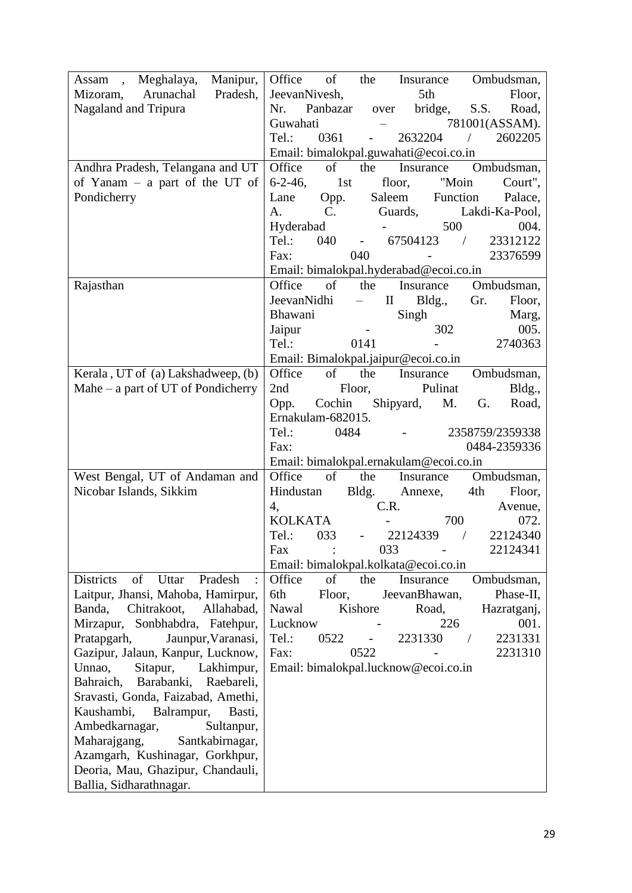| Meghalaya,<br>Manipur,<br>Assam<br>$\overline{\phantom{a}}$ | Office<br>of<br>the<br>Ombudsman,<br>Insurance                                                |
|-------------------------------------------------------------|-----------------------------------------------------------------------------------------------|
| Mizoram, Arunachal<br>Pradesh,                              | 5th<br>JeevanNivesh,<br>Floor,                                                                |
| Nagaland and Tripura                                        | Panbazar<br>S.S.<br>Nr.<br>bridge,<br>Road,<br>over                                           |
|                                                             | Guwahati<br>781001(ASSAM).                                                                    |
|                                                             | 0361<br>2632204<br>Tel.:<br>$\sqrt{2}$<br>2602205<br>$\overline{a}$                           |
|                                                             | Email: bimalokpal.guwahati@ecoi.co.in                                                         |
| Andhra Pradesh, Telangana and UT                            | Office<br>of<br>the<br>Ombudsman,<br>Insurance                                                |
| of Yanam - a part of the UT of                              | $6 - 2 - 46$ ,<br>1st<br>"Moin<br>floor,<br>Court",                                           |
| Pondicherry                                                 | Saleem<br>Function<br>Palace,<br>Lane<br>Opp.                                                 |
|                                                             | Guards,<br>$\mathbf{C}$ .<br>Lakdi-Ka-Pool,<br>A.                                             |
|                                                             | 500<br>004.<br>Hyderabad                                                                      |
|                                                             | Tel.:<br>040<br>67504123<br>23312122<br>$\overline{\phantom{a}}$<br>$\sim 10^{-10}$ m $^{-1}$ |
|                                                             | 040<br>23376599<br>Fax:                                                                       |
|                                                             | Email: bimalokpal.hyderabad@ecoi.co.in                                                        |
| Rajasthan                                                   | $\circ$ of $\overline{\phantom{0}}$<br>Ombudsman,<br>Office<br>the<br>Insurance               |
|                                                             | $\rm II$<br>JeevanNidhi<br>Bldg.,<br>Gr.<br>Floor,                                            |
|                                                             | Bhawani<br>Singh<br>Marg,                                                                     |
|                                                             | 005.<br>302<br>Jaipur                                                                         |
|                                                             | Tel.:<br>2740363<br>0141                                                                      |
|                                                             | Email: Bimalokpal.jaipur@ecoi.co.in                                                           |
| Kerala, UT of (a) Lakshadweep, (b)                          | $\sigma$ of<br>Office<br>the<br>Insurance<br>Ombudsman,                                       |
| Mahe $-$ a part of UT of Pondicherry                        | 2nd<br>Pulinat<br>Floor,<br>Bldg.,                                                            |
|                                                             | Shipyard,<br>Cochin<br>M.<br>G.<br>Road,<br>Opp.                                              |
|                                                             | Ernakulam-682015.                                                                             |
|                                                             | Tel.:<br>0484<br>2358759/2359338<br>0484-2359336<br>Fax:                                      |
|                                                             | Email: bimalokpal.ernakulam@ecoi.co.in                                                        |
| West Bengal, UT of Andaman and                              | of<br>Office<br>the<br>Ombudsman,<br>Insurance                                                |
| Nicobar Islands, Sikkim                                     | Hindustan<br>Bldg.<br>Annexe,<br>4th<br>Floor,                                                |
|                                                             | C.R.<br>4,<br>Avenue,                                                                         |
|                                                             | <b>KOLKATA</b><br>700<br>072.                                                                 |
|                                                             | Tel.:<br>033<br>22124339<br>22124340<br>$\frac{1}{2}$<br>$\overline{\phantom{a}}$             |
|                                                             | Fax<br>033<br>22124341                                                                        |
|                                                             | Email: bimalokpal.kolkata@ecoi.co.in                                                          |
| of Uttar<br>Pradesh<br><b>Districts</b>                     | Office<br>of<br>the<br>Insurance<br>Ombudsman,                                                |
| Laitpur, Jhansi, Mahoba, Hamirpur,                          | 6th<br>Floor,<br>JeevanBhawan,<br>Phase-II,                                                   |
| Chitrakoot,<br>Banda,<br>Allahabad,                         | Nawal<br>Kishore<br>Road,<br>Hazratganj,                                                      |
| Mirzapur,<br>Sonbhabdra, Fatehpur,                          | Lucknow<br>226<br>001.                                                                        |
| Pratapgarh,<br>Jaunpur, Varanasi,                           | Tel.:<br>0522<br>2231330<br>2231331                                                           |
| Gazipur, Jalaun, Kanpur, Lucknow,                           | 0522<br>Fax:<br>2231310                                                                       |
| Unnao,<br>Sitapur,<br>Lakhimpur,                            | Email: bimalokpal.lucknow@ecoi.co.in                                                          |
| Barabanki,<br>Raebareli,<br>Bahraich,                       |                                                                                               |
| Sravasti, Gonda, Faizabad, Amethi,                          |                                                                                               |
| Kaushambi,<br>Balrampur,<br>Basti,                          |                                                                                               |
| Ambedkarnagar,<br>Sultanpur,                                |                                                                                               |
| Maharajgang,<br>Santkabirnagar,                             |                                                                                               |
| Azamgarh, Kushinagar, Gorkhpur,                             |                                                                                               |
| Deoria, Mau, Ghazipur, Chandauli,                           |                                                                                               |
| Ballia, Sidharathnagar.                                     |                                                                                               |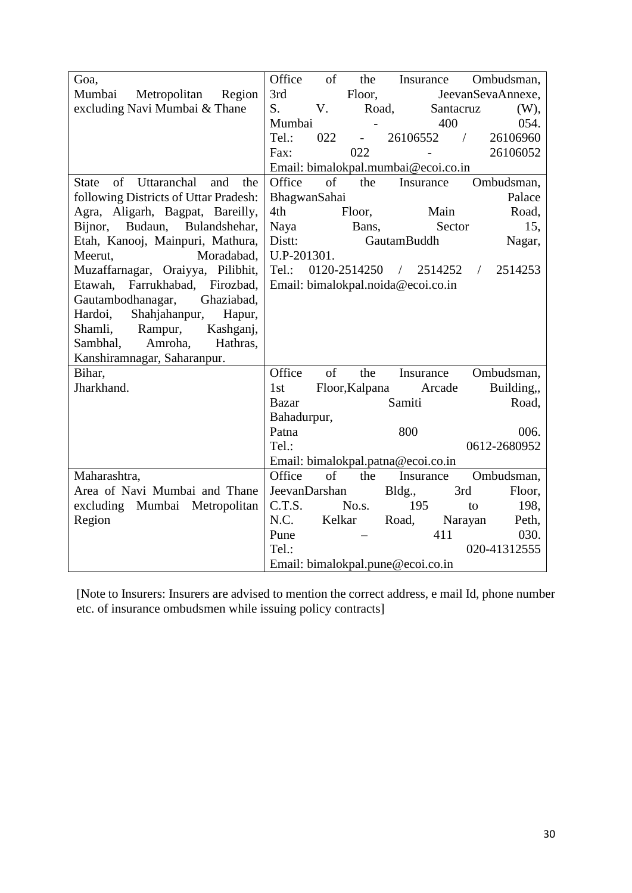| Goa,                                         | Office        | of     | the                 | Insurance                           |                | Ombudsman,            |
|----------------------------------------------|---------------|--------|---------------------|-------------------------------------|----------------|-----------------------|
| Mumbai<br>Metropolitan<br>Region             | 3rd           |        | Floor,              |                                     |                | JeevanSevaAnnexe,     |
| excluding Navi Mumbai & Thane                | S.            | V.     | Road,               |                                     | Santacruz      | $(W)$ ,               |
|                                              | Mumbai        |        |                     |                                     | 400            | 054.                  |
|                                              | Tel.:         | 022    | $\omega_{\rm{max}}$ | 26106552                            | $\overline{ }$ | 26106960              |
|                                              | Fax:          |        | 022                 | $\overline{\phantom{0}}$            |                | 26106052              |
|                                              |               |        |                     | Email: bimalokpal.mumbai@ecoi.co.in |                |                       |
| of Uttaranchal<br>and<br>the<br><b>State</b> | Office        | of     | the                 | Insurance                           |                | Ombudsman,            |
| following Districts of Uttar Pradesh:        | BhagwanSahai  |        |                     |                                     |                | Palace                |
| Agra, Aligarh, Bagpat, Bareilly,             | 4th           |        | Floor,              |                                     | Main           | Road,                 |
| Bijnor, Budaun,<br>Bulandshehar,             | Naya          |        | Bans,               |                                     | Sector         | 15,                   |
| Etah, Kanooj, Mainpuri, Mathura,             | Distt:        |        |                     | GautamBuddh                         |                | Nagar,                |
| Moradabad,<br>Meerut,                        | U.P-201301.   |        |                     |                                     |                |                       |
| Muzaffarnagar, Oraiyya, Pilibhit,            | Tel.:         |        |                     | 0120-2514250 / 2514252              |                | 2514253<br>$\sqrt{2}$ |
| Farrukhabad, Firozbad,<br>Etawah,            |               |        |                     | Email: bimalokpal.noida@ecoi.co.in  |                |                       |
| Gautambodhanagar,<br>Ghaziabad,              |               |        |                     |                                     |                |                       |
| Shahjahanpur,<br>Hardoi,<br>Hapur,           |               |        |                     |                                     |                |                       |
| Shamli,<br>Rampur,<br>Kashganj,              |               |        |                     |                                     |                |                       |
| Amroha,<br>Hathras,<br>Sambhal,              |               |        |                     |                                     |                |                       |
| Kanshiramnagar, Saharanpur.                  |               |        |                     |                                     |                |                       |
| Bihar,                                       | Office        | of     | the                 | Insurance                           |                | Ombudsman,            |
| Jharkhand.                                   | 1st           |        | Floor, Kalpana      |                                     | Arcade         | Building,,            |
|                                              | <b>Bazar</b>  |        |                     | Samiti                              |                | Road,                 |
|                                              | Bahadurpur,   |        |                     |                                     |                |                       |
|                                              | Patna         |        |                     | 800                                 |                | 006.                  |
|                                              | Tel.:         |        |                     |                                     |                | 0612-2680952          |
|                                              |               |        |                     | Email: bimalokpal.patna@ecoi.co.in  |                |                       |
| Maharashtra,                                 | Office        | of     | the                 | Insurance                           |                | Ombudsman,            |
| Area of Navi Mumbai and Thane                | JeevanDarshan |        |                     | Bldg.,                              | 3rd            | Floor,                |
| excluding Mumbai Metropolitan                | C.T.S.        |        | No.s.               | 195                                 | to             | 198,                  |
| Region                                       | N.C.          | Kelkar |                     | Road,                               | Narayan        | Peth,                 |
|                                              | Pune          |        |                     |                                     | 411            | 030.                  |
|                                              | Tel.:         |        |                     |                                     |                | 020-41312555          |
|                                              |               |        |                     | Email: bimalokpal.pune@ecoi.co.in   |                |                       |

[Note to Insurers: Insurers are advised to mention the correct address, e mail Id, phone number etc. of insurance ombudsmen while issuing policy contracts]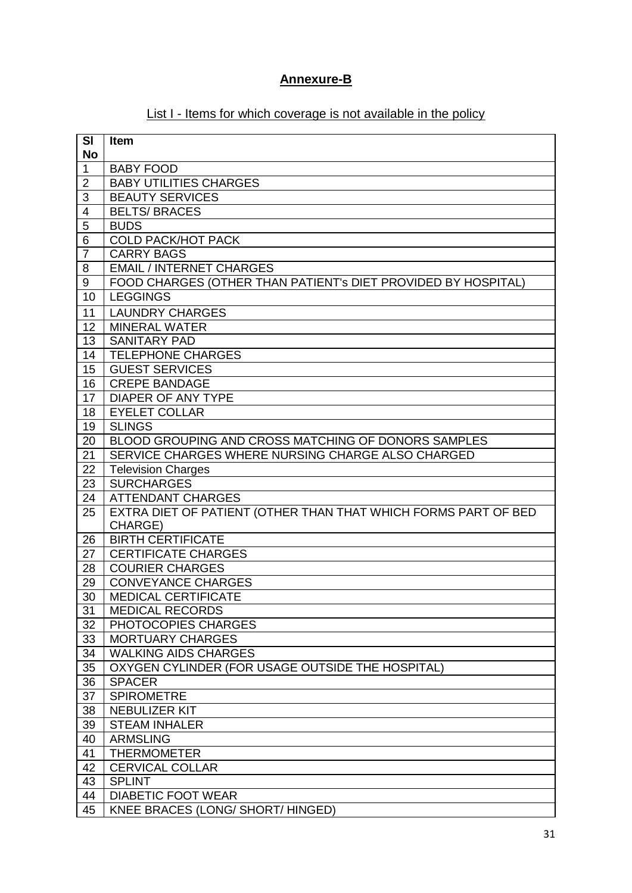# **Annexure-B**

# List I - Items for which coverage is not available in the policy

| SI                      | Item                                                           |
|-------------------------|----------------------------------------------------------------|
| <b>No</b>               |                                                                |
| $\mathbf{1}$            | <b>BABY FOOD</b>                                               |
| 2                       | <b>BABY UTILITIES CHARGES</b>                                  |
| 3                       | <b>BEAUTY SERVICES</b>                                         |
| $\overline{\mathbf{4}}$ | <b>BELTS/BRACES</b>                                            |
| 5                       | <b>BUDS</b>                                                    |
| 6                       | <b>COLD PACK/HOT PACK</b>                                      |
| $\overline{7}$          | <b>CARRY BAGS</b><br><b>EMAIL / INTERNET CHARGES</b>           |
| 8<br>9                  | FOOD CHARGES (OTHER THAN PATIENT'S DIET PROVIDED BY HOSPITAL)  |
| 10                      | <b>LEGGINGS</b>                                                |
|                         |                                                                |
| 11<br>12                | <b>LAUNDRY CHARGES</b>                                         |
| 13                      | <b>MINERAL WATER</b><br><b>SANITARY PAD</b>                    |
| 14                      | TELEPHONE CHARGES                                              |
| 15                      | <b>GUEST SERVICES</b>                                          |
| 16                      | <b>CREPE BANDAGE</b>                                           |
| 17                      | <b>DIAPER OF ANY TYPE</b>                                      |
| 18                      | <b>EYELET COLLAR</b>                                           |
| 19                      | <b>SLINGS</b>                                                  |
| 20                      | BLOOD GROUPING AND CROSS MATCHING OF DONORS SAMPLES            |
| 21                      | SERVICE CHARGES WHERE NURSING CHARGE ALSO CHARGED              |
| 22                      | <b>Television Charges</b>                                      |
| 23                      | <b>SURCHARGES</b>                                              |
| 24                      | <b>ATTENDANT CHARGES</b>                                       |
| 25                      | EXTRA DIET OF PATIENT (OTHER THAN THAT WHICH FORMS PART OF BED |
|                         | CHARGE)                                                        |
| 26                      | <b>BIRTH CERTIFICATE</b>                                       |
| 27                      | <b>CERTIFICATE CHARGES</b>                                     |
| 28                      | <b>COURIER CHARGES</b>                                         |
| 29                      | <b>CONVEYANCE CHARGES</b>                                      |
| 30                      | <b>MEDICAL CERTIFICATE</b>                                     |
| 31                      | <b>MEDICAL RECORDS</b>                                         |
| 32                      | PHOTOCOPIES CHARGES                                            |
| 33                      | <b>MORTUARY CHARGES</b>                                        |
| 34                      | <b>WALKING AIDS CHARGES</b>                                    |
| 35                      | OXYGEN CYLINDER (FOR USAGE OUTSIDE THE HOSPITAL)               |
| 36                      | <b>SPACER</b>                                                  |
| 37                      | <b>SPIROMETRE</b>                                              |
| 38                      | <b>NEBULIZER KIT</b>                                           |
| 39                      | <b>STEAM INHALER</b><br><b>ARMSLING</b>                        |
| 40                      |                                                                |
| 41                      | <b>THERMOMETER</b>                                             |
| 42<br>43                | <b>CERVICAL COLLAR</b><br><b>SPLINT</b>                        |
| 44                      | <b>DIABETIC FOOT WEAR</b>                                      |
| 45                      | <b>KNEE BRACES (LONG/ SHORT/ HINGED)</b>                       |
|                         |                                                                |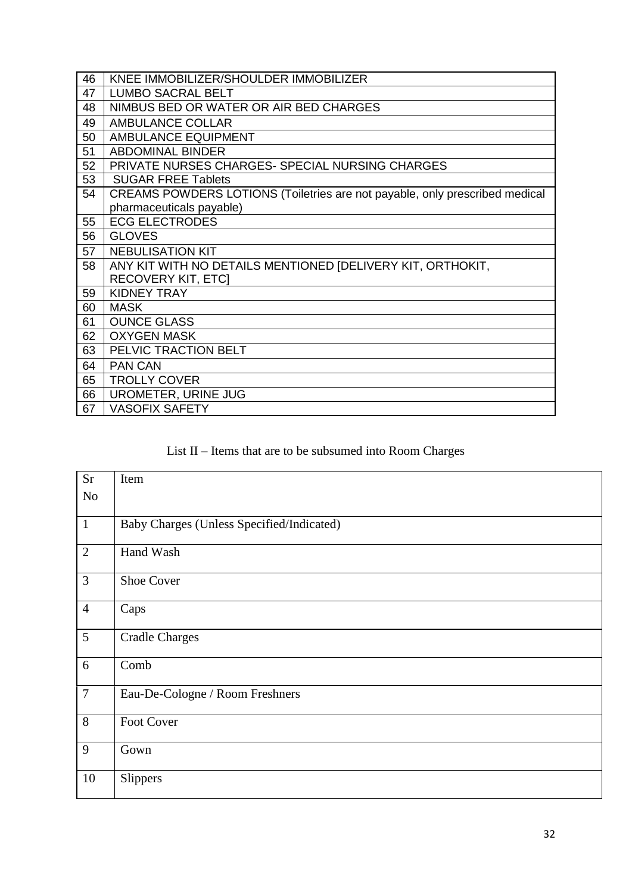| 46 | KNEE IMMOBILIZER/SHOULDER IMMOBILIZER                                       |
|----|-----------------------------------------------------------------------------|
| 47 | <b>LUMBO SACRAL BELT</b>                                                    |
| 48 | NIMBUS BED OR WATER OR AIR BED CHARGES                                      |
| 49 | <b>AMBULANCE COLLAR</b>                                                     |
| 50 | AMBULANCE EQUIPMENT                                                         |
| 51 | <b>ABDOMINAL BINDER</b>                                                     |
| 52 | PRIVATE NURSES CHARGES- SPECIAL NURSING CHARGES                             |
| 53 | <b>SUGAR FREE Tablets</b>                                                   |
| 54 | CREAMS POWDERS LOTIONS (Toiletries are not payable, only prescribed medical |
|    | pharmaceuticals payable)                                                    |
| 55 | <b>ECG ELECTRODES</b>                                                       |
| 56 | <b>GLOVES</b>                                                               |
| 57 | <b>NEBULISATION KIT</b>                                                     |
| 58 | ANY KIT WITH NO DETAILS MENTIONED [DELIVERY KIT, ORTHOKIT,                  |
|    | <b>RECOVERY KIT, ETC]</b>                                                   |
| 59 | <b>KIDNEY TRAY</b>                                                          |
| 60 | <b>MASK</b>                                                                 |
| 61 | <b>OUNCE GLASS</b>                                                          |
| 62 | <b>OXYGEN MASK</b>                                                          |
| 63 | PELVIC TRACTION BELT                                                        |
| 64 | <b>PAN CAN</b>                                                              |
| 65 | <b>TROLLY COVER</b>                                                         |
| 66 | UROMETER, URINE JUG                                                         |
| 67 | <b>VASOFIX SAFETY</b>                                                       |

# List II – Items that are to be subsumed into Room Charges

| <b>Sr</b>      | Item                                      |
|----------------|-------------------------------------------|
| No             |                                           |
|                |                                           |
| $\mathbf{1}$   | Baby Charges (Unless Specified/Indicated) |
| $\overline{2}$ | Hand Wash                                 |
| 3              | <b>Shoe Cover</b>                         |
| $\overline{4}$ | Caps                                      |
| 5              | <b>Cradle Charges</b>                     |
| 6              | Comb                                      |
| $\overline{7}$ | Eau-De-Cologne / Room Freshners           |
| 8              | Foot Cover                                |
| 9              | Gown                                      |
| 10             | Slippers                                  |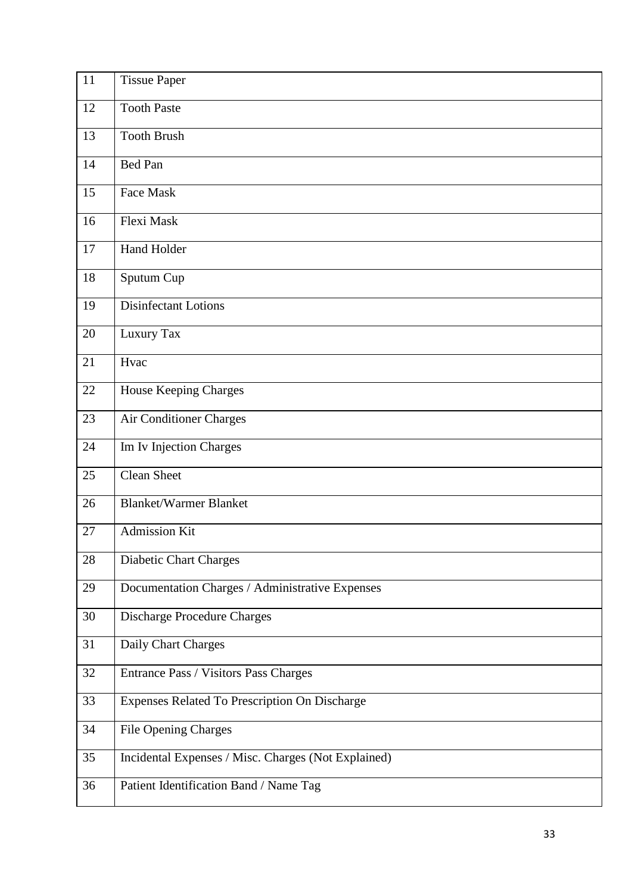| 11 | <b>Tissue Paper</b>                                 |
|----|-----------------------------------------------------|
| 12 | <b>Tooth Paste</b>                                  |
| 13 | <b>Tooth Brush</b>                                  |
| 14 | <b>Bed Pan</b>                                      |
| 15 | Face Mask                                           |
| 16 | Flexi Mask                                          |
| 17 | Hand Holder                                         |
| 18 | Sputum Cup                                          |
| 19 | Disinfectant Lotions                                |
| 20 | Luxury Tax                                          |
| 21 | Hvac                                                |
| 22 | House Keeping Charges                               |
| 23 | Air Conditioner Charges                             |
| 24 | Im Iv Injection Charges                             |
| 25 | <b>Clean Sheet</b>                                  |
| 26 | <b>Blanket/Warmer Blanket</b>                       |
| 27 | <b>Admission Kit</b>                                |
| 28 | <b>Diabetic Chart Charges</b>                       |
| 29 | Documentation Charges / Administrative Expenses     |
| 30 | <b>Discharge Procedure Charges</b>                  |
| 31 | Daily Chart Charges                                 |
| 32 | Entrance Pass / Visitors Pass Charges               |
| 33 | Expenses Related To Prescription On Discharge       |
| 34 | <b>File Opening Charges</b>                         |
| 35 | Incidental Expenses / Misc. Charges (Not Explained) |
| 36 | Patient Identification Band / Name Tag              |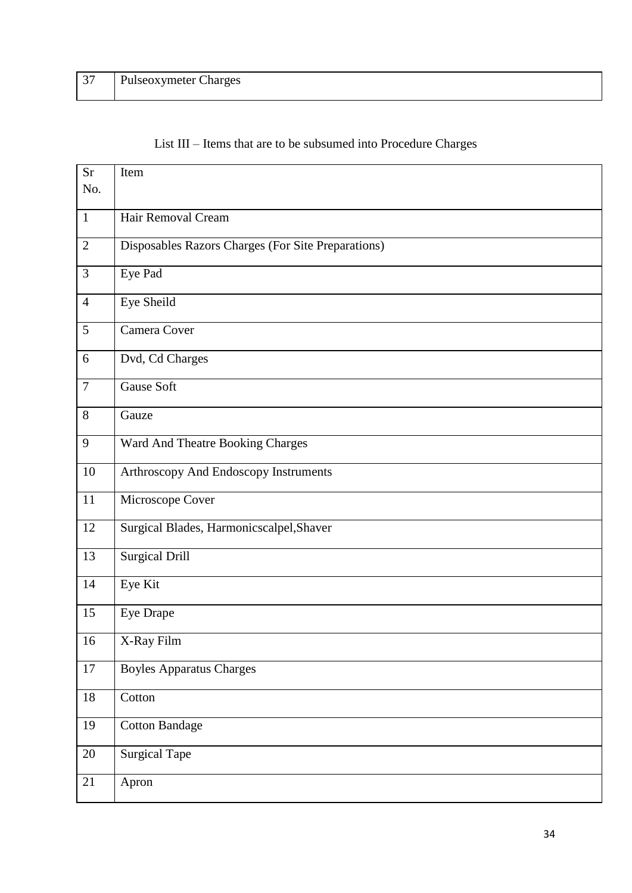| 37 | <b>Pulseoxymeter Charges</b> |
|----|------------------------------|
|    |                              |

|  |  |  |  |  |  |  |  |  | List III – Items that are to be subsumed into Procedure Charges |  |
|--|--|--|--|--|--|--|--|--|-----------------------------------------------------------------|--|
|--|--|--|--|--|--|--|--|--|-----------------------------------------------------------------|--|

| <b>Sr</b><br>No. | Item                                               |
|------------------|----------------------------------------------------|
| $\mathbf{1}$     | Hair Removal Cream                                 |
| $\mathfrak{2}$   | Disposables Razors Charges (For Site Preparations) |
| 3                | Eye Pad                                            |
| $\overline{4}$   | Eye Sheild                                         |
| 5                | Camera Cover                                       |
| 6                | Dvd, Cd Charges                                    |
| $\overline{7}$   | <b>Gause Soft</b>                                  |
| 8                | Gauze                                              |
| 9                | Ward And Theatre Booking Charges                   |
| 10               | Arthroscopy And Endoscopy Instruments              |
| $11\,$           | Microscope Cover                                   |
| 12               | Surgical Blades, Harmonicscalpel, Shaver           |
| 13               | <b>Surgical Drill</b>                              |
| 14               | Eye Kit                                            |
| 15               | Eye Drape                                          |
| 16               | X-Ray Film                                         |
| $17\,$           | <b>Boyles Apparatus Charges</b>                    |
| 18               | Cotton                                             |
| 19               | <b>Cotton Bandage</b>                              |
| 20               | <b>Surgical Tape</b>                               |
| 21               | Apron                                              |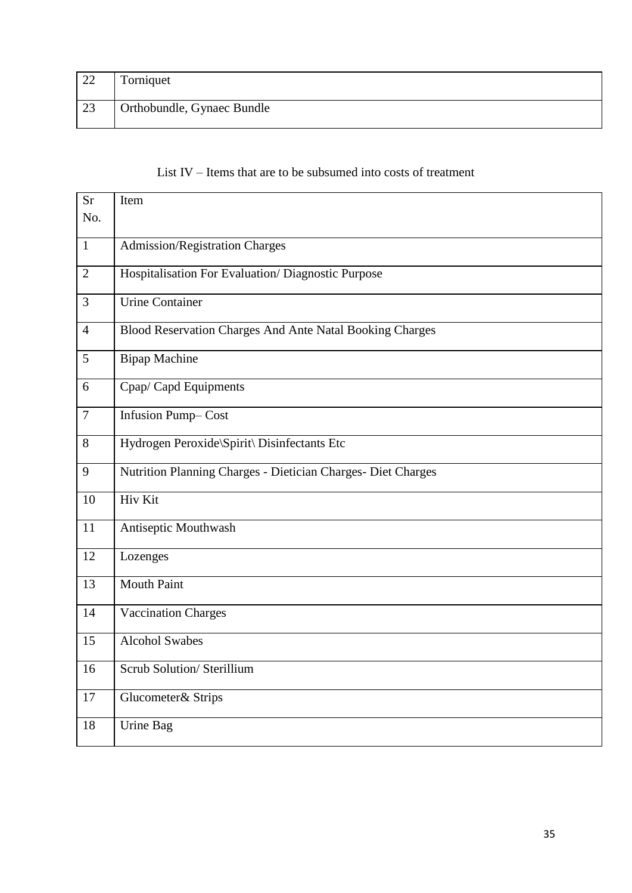| 22 | Torniquet                  |
|----|----------------------------|
|    |                            |
| 23 | Orthobundle, Gynaec Bundle |
|    |                            |

## List IV – Items that are to be subsumed into costs of treatment

| <b>Sr</b>      | Item                                                         |
|----------------|--------------------------------------------------------------|
| No.            |                                                              |
| $\mathbf{1}$   |                                                              |
|                | <b>Admission/Registration Charges</b>                        |
| $\overline{2}$ | Hospitalisation For Evaluation/Diagnostic Purpose            |
| 3              | <b>Urine Container</b>                                       |
| $\overline{4}$ | Blood Reservation Charges And Ante Natal Booking Charges     |
| 5              | <b>Bipap Machine</b>                                         |
| 6              | Cpap/Capd Equipments                                         |
| $\overline{7}$ | <b>Infusion Pump-Cost</b>                                    |
| 8              | Hydrogen Peroxide\Spirit\ Disinfectants Etc                  |
| 9              | Nutrition Planning Charges - Dietician Charges- Diet Charges |
| 10             | Hiv Kit                                                      |
| 11             | Antiseptic Mouthwash                                         |
| 12             | Lozenges                                                     |
| 13             | <b>Mouth Paint</b>                                           |
| 14             | <b>Vaccination Charges</b>                                   |
| 15             | <b>Alcohol Swabes</b>                                        |
| 16             | Scrub Solution/ Sterillium                                   |
| 17             | Glucometer& Strips                                           |
| 18             | Urine Bag                                                    |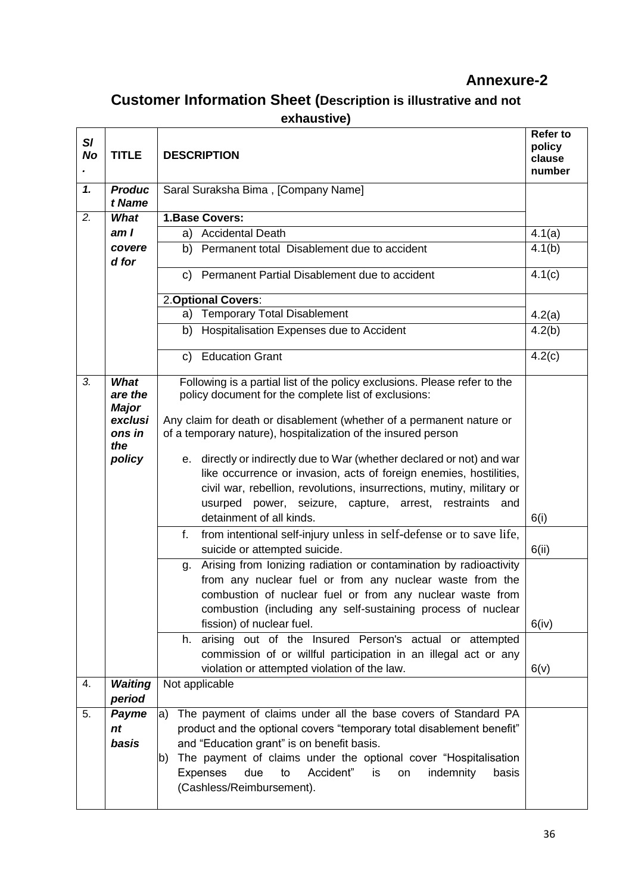# **Annexure-2**

# **Customer Information Sheet (Description is illustrative and not exhaustive)**

| SI<br><b>No</b> | <b>TITLE</b>                                                          | <b>Refer to</b><br>policy<br><b>DESCRIPTION</b><br>clause<br>number                                                                                                                                                                                                                                                                                                                                                                                                                                                                                                                                                                                                         |                     |  |  |  |
|-----------------|-----------------------------------------------------------------------|-----------------------------------------------------------------------------------------------------------------------------------------------------------------------------------------------------------------------------------------------------------------------------------------------------------------------------------------------------------------------------------------------------------------------------------------------------------------------------------------------------------------------------------------------------------------------------------------------------------------------------------------------------------------------------|---------------------|--|--|--|
| $\mathbf{1}$    | <b>Produc</b><br>t Name                                               | Saral Suraksha Bima, [Company Name]                                                                                                                                                                                                                                                                                                                                                                                                                                                                                                                                                                                                                                         |                     |  |  |  |
| 2.              | What                                                                  | 1.Base Covers:                                                                                                                                                                                                                                                                                                                                                                                                                                                                                                                                                                                                                                                              |                     |  |  |  |
|                 | am I                                                                  | <b>Accidental Death</b><br>a)                                                                                                                                                                                                                                                                                                                                                                                                                                                                                                                                                                                                                                               | $\overline{4}.1(a)$ |  |  |  |
|                 | covere                                                                | b) Permanent total Disablement due to accident                                                                                                                                                                                                                                                                                                                                                                                                                                                                                                                                                                                                                              | 4.1(b)              |  |  |  |
|                 | d for                                                                 |                                                                                                                                                                                                                                                                                                                                                                                                                                                                                                                                                                                                                                                                             |                     |  |  |  |
|                 |                                                                       | c) Permanent Partial Disablement due to accident                                                                                                                                                                                                                                                                                                                                                                                                                                                                                                                                                                                                                            | 4.1(c)              |  |  |  |
|                 |                                                                       | 2. Optional Covers:                                                                                                                                                                                                                                                                                                                                                                                                                                                                                                                                                                                                                                                         |                     |  |  |  |
|                 |                                                                       | a) Temporary Total Disablement                                                                                                                                                                                                                                                                                                                                                                                                                                                                                                                                                                                                                                              | 4.2(a)              |  |  |  |
|                 |                                                                       | Hospitalisation Expenses due to Accident<br>b)                                                                                                                                                                                                                                                                                                                                                                                                                                                                                                                                                                                                                              | 4.2(b)              |  |  |  |
|                 |                                                                       | c) Education Grant                                                                                                                                                                                                                                                                                                                                                                                                                                                                                                                                                                                                                                                          | 4.2(c)              |  |  |  |
| 3.              | What<br>are the<br><b>Major</b><br>exclusi<br>ons in<br>the<br>policy | Following is a partial list of the policy exclusions. Please refer to the<br>policy document for the complete list of exclusions:<br>Any claim for death or disablement (whether of a permanent nature or<br>of a temporary nature), hospitalization of the insured person<br>e. directly or indirectly due to War (whether declared or not) and war<br>like occurrence or invasion, acts of foreign enemies, hostilities,<br>civil war, rebellion, revolutions, insurrections, mutiny, military or<br>usurped power, seizure, capture, arrest,<br>restraints and<br>detainment of all kinds.<br>from intentional self-injury unless in self-defense or to save life,<br>f. | 6(i)                |  |  |  |
|                 |                                                                       | suicide or attempted suicide.                                                                                                                                                                                                                                                                                                                                                                                                                                                                                                                                                                                                                                               |                     |  |  |  |
|                 |                                                                       | Arising from Ionizing radiation or contamination by radioactivity<br>q.<br>from any nuclear fuel or from any nuclear waste from the<br>combustion of nuclear fuel or from any nuclear waste from<br>combustion (including any self-sustaining process of nuclear<br>fission) of nuclear fuel.<br>arising out of the Insured Person's actual or attempted<br>h.                                                                                                                                                                                                                                                                                                              |                     |  |  |  |
|                 |                                                                       | commission of or willful participation in an illegal act or any<br>violation or attempted violation of the law.                                                                                                                                                                                                                                                                                                                                                                                                                                                                                                                                                             | 6(v)                |  |  |  |
| 4.              | <b>Waiting</b>                                                        | Not applicable                                                                                                                                                                                                                                                                                                                                                                                                                                                                                                                                                                                                                                                              |                     |  |  |  |
|                 | period                                                                |                                                                                                                                                                                                                                                                                                                                                                                                                                                                                                                                                                                                                                                                             |                     |  |  |  |
| 5.              | Payme<br>nt<br>basis                                                  | The payment of claims under all the base covers of Standard PA<br>la)<br>product and the optional covers "temporary total disablement benefit"<br>and "Education grant" is on benefit basis.<br>The payment of claims under the optional cover "Hospitalisation<br>b)<br><b>Expenses</b><br>due<br>Accident"<br>is<br>indemnity<br>basis<br>to<br>on<br>(Cashless/Reimbursement).                                                                                                                                                                                                                                                                                           |                     |  |  |  |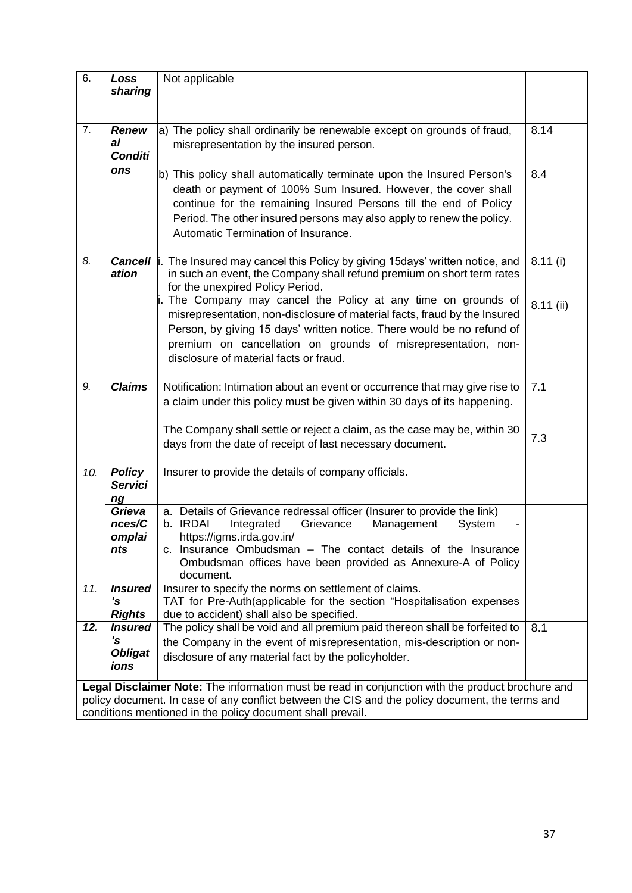| 6.                                                                                                                                                                                                                                                                | Loss<br>sharing                                | Not applicable                                                                                                                                                                                                                                                                                                                                                                                                                                                                                                                            |                      |  |  |
|-------------------------------------------------------------------------------------------------------------------------------------------------------------------------------------------------------------------------------------------------------------------|------------------------------------------------|-------------------------------------------------------------------------------------------------------------------------------------------------------------------------------------------------------------------------------------------------------------------------------------------------------------------------------------------------------------------------------------------------------------------------------------------------------------------------------------------------------------------------------------------|----------------------|--|--|
| 7.                                                                                                                                                                                                                                                                | <b>Renew</b><br>al<br><b>Conditi</b>           | a) The policy shall ordinarily be renewable except on grounds of fraud,<br>misrepresentation by the insured person.                                                                                                                                                                                                                                                                                                                                                                                                                       | 8.14                 |  |  |
|                                                                                                                                                                                                                                                                   | ons                                            | b) This policy shall automatically terminate upon the Insured Person's<br>death or payment of 100% Sum Insured. However, the cover shall<br>continue for the remaining Insured Persons till the end of Policy<br>Period. The other insured persons may also apply to renew the policy.<br>Automatic Termination of Insurance.                                                                                                                                                                                                             | 8.4                  |  |  |
| 8.                                                                                                                                                                                                                                                                | ation                                          | <b>Cancell</b> i. The Insured may cancel this Policy by giving 15days' written notice, and<br>in such an event, the Company shall refund premium on short term rates<br>for the unexpired Policy Period.<br>The Company may cancel the Policy at any time on grounds of<br>misrepresentation, non-disclosure of material facts, fraud by the Insured<br>Person, by giving 15 days' written notice. There would be no refund of<br>premium on cancellation on grounds of misrepresentation, non-<br>disclosure of material facts or fraud. | 8.11(i)<br>8.11 (ii) |  |  |
| 9.                                                                                                                                                                                                                                                                | <b>Claims</b>                                  | Notification: Intimation about an event or occurrence that may give rise to<br>a claim under this policy must be given within 30 days of its happening.<br>The Company shall settle or reject a claim, as the case may be, within 30<br>days from the date of receipt of last necessary document.                                                                                                                                                                                                                                         | 7.1<br>7.3           |  |  |
| 10.                                                                                                                                                                                                                                                               | <b>Policy</b><br><b>Servici</b><br>ng          | Insurer to provide the details of company officials.                                                                                                                                                                                                                                                                                                                                                                                                                                                                                      |                      |  |  |
|                                                                                                                                                                                                                                                                   | Grieva<br>nces/C<br>omplai<br>nts              | a. Details of Grievance redressal officer (Insurer to provide the link)<br>b. IRDAI<br>Integrated<br>Management<br>Grievance<br>System<br>https://igms.irda.gov.in/<br>c. Insurance Ombudsman - The contact details of the Insurance<br>Ombudsman offices have been provided as Annexure-A of Policy<br>document.                                                                                                                                                                                                                         |                      |  |  |
| 11.                                                                                                                                                                                                                                                               | <b>Insured</b><br>'s<br><b>Rights</b>          | Insurer to specify the norms on settlement of claims.<br>TAT for Pre-Auth(applicable for the section "Hospitalisation expenses<br>due to accident) shall also be specified.                                                                                                                                                                                                                                                                                                                                                               |                      |  |  |
| 12.                                                                                                                                                                                                                                                               | <b>Insured</b><br>'s<br><b>Obligat</b><br>ions | The policy shall be void and all premium paid thereon shall be forfeited to<br>the Company in the event of misrepresentation, mis-description or non-<br>disclosure of any material fact by the policyholder.                                                                                                                                                                                                                                                                                                                             | 8.1                  |  |  |
| Legal Disclaimer Note: The information must be read in conjunction with the product brochure and<br>policy document. In case of any conflict between the CIS and the policy document, the terms and<br>conditions mentioned in the policy document shall prevail. |                                                |                                                                                                                                                                                                                                                                                                                                                                                                                                                                                                                                           |                      |  |  |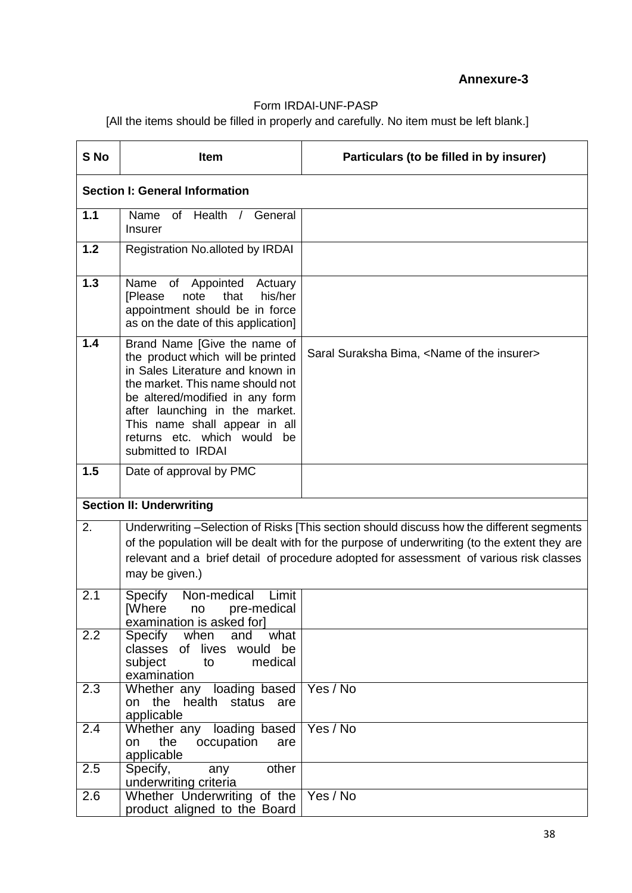## **Annexure-3**

# Form IRDAI-UNF-PASP

[All the items should be filled in properly and carefully. No item must be left blank.]

| S <sub>No</sub> | Item                                                                                                                                                                                                                                                                                                    | Particulars (to be filled in by insurer)                                                                                                                                                                                                                                            |  |  |  |  |  |
|-----------------|---------------------------------------------------------------------------------------------------------------------------------------------------------------------------------------------------------------------------------------------------------------------------------------------------------|-------------------------------------------------------------------------------------------------------------------------------------------------------------------------------------------------------------------------------------------------------------------------------------|--|--|--|--|--|
|                 | <b>Section I: General Information</b>                                                                                                                                                                                                                                                                   |                                                                                                                                                                                                                                                                                     |  |  |  |  |  |
| 1.1             | Name of Health / General<br><b>Insurer</b>                                                                                                                                                                                                                                                              |                                                                                                                                                                                                                                                                                     |  |  |  |  |  |
| 1.2             | Registration No.alloted by IRDAI                                                                                                                                                                                                                                                                        |                                                                                                                                                                                                                                                                                     |  |  |  |  |  |
| 1.3             | of Appointed Actuary<br>Name<br>that<br>his/her<br><b>[Please</b><br>note<br>appointment should be in force<br>as on the date of this application]                                                                                                                                                      |                                                                                                                                                                                                                                                                                     |  |  |  |  |  |
| 1.4             | Brand Name [Give the name of<br>the product which will be printed<br>in Sales Literature and known in<br>the market. This name should not<br>be altered/modified in any form<br>after launching in the market.<br>This name shall appear in all<br>returns etc. which would<br>be<br>submitted to IRDAI | Saral Suraksha Bima, <name insurer="" of="" the=""></name>                                                                                                                                                                                                                          |  |  |  |  |  |
| 1.5             | Date of approval by PMC                                                                                                                                                                                                                                                                                 |                                                                                                                                                                                                                                                                                     |  |  |  |  |  |
|                 | <b>Section II: Underwriting</b>                                                                                                                                                                                                                                                                         |                                                                                                                                                                                                                                                                                     |  |  |  |  |  |
| 2.              | may be given.)                                                                                                                                                                                                                                                                                          | Underwriting -Selection of Risks [This section should discuss how the different segments<br>of the population will be dealt with for the purpose of underwriting (to the extent they are<br>relevant and a brief detail of procedure adopted for assessment of various risk classes |  |  |  |  |  |
| 2.1             | Non-medical<br>Limit<br>Specify<br><b>[Where</b><br>pre-medical<br>no<br>examination is asked for]                                                                                                                                                                                                      |                                                                                                                                                                                                                                                                                     |  |  |  |  |  |
| 2.2             | Specify when<br>and<br>what<br>classes of lives would be<br>subject<br>medical<br>to<br>examination                                                                                                                                                                                                     |                                                                                                                                                                                                                                                                                     |  |  |  |  |  |
| 2.3             | Whether any loading based   Yes / No<br>on the health status are<br>applicable                                                                                                                                                                                                                          |                                                                                                                                                                                                                                                                                     |  |  |  |  |  |
| 2.4             | Whether any loading based   Yes / No<br>the<br>occupation<br>on<br>are<br>applicable                                                                                                                                                                                                                    |                                                                                                                                                                                                                                                                                     |  |  |  |  |  |
| 2.5             | $\overline{other}$<br>Specify,<br>any<br>underwriting criteria                                                                                                                                                                                                                                          |                                                                                                                                                                                                                                                                                     |  |  |  |  |  |
| 2.6             | Whether Underwriting of the   Yes / No<br>product aligned to the Board                                                                                                                                                                                                                                  |                                                                                                                                                                                                                                                                                     |  |  |  |  |  |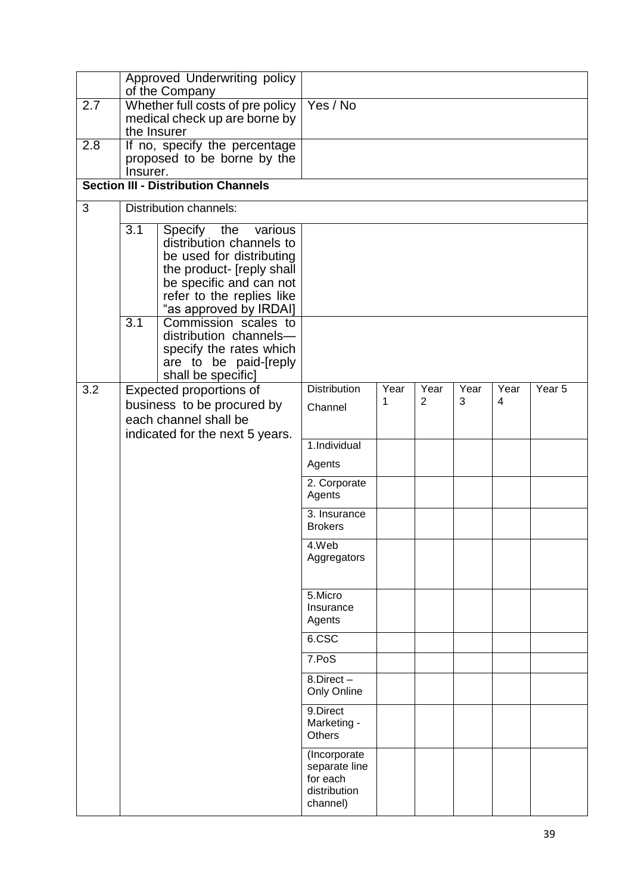|     |                  | Approved Underwriting policy                                 |                                                                       |      |                |      |      |                   |
|-----|------------------|--------------------------------------------------------------|-----------------------------------------------------------------------|------|----------------|------|------|-------------------|
| 2.7 |                  | of the Company<br>Whether full costs of pre policy           | Yes / No                                                              |      |                |      |      |                   |
|     |                  | medical check up are borne by                                |                                                                       |      |                |      |      |                   |
|     | the Insurer      |                                                              |                                                                       |      |                |      |      |                   |
| 2.8 |                  | If no, specify the percentage<br>proposed to be borne by the |                                                                       |      |                |      |      |                   |
|     | Insurer.         |                                                              |                                                                       |      |                |      |      |                   |
|     |                  | <b>Section III - Distribution Channels</b>                   |                                                                       |      |                |      |      |                   |
| 3   |                  | <b>Distribution channels:</b>                                |                                                                       |      |                |      |      |                   |
|     | $\overline{3.1}$ | Specify the<br>various                                       |                                                                       |      |                |      |      |                   |
|     |                  | distribution channels to<br>be used for distributing         |                                                                       |      |                |      |      |                   |
|     |                  | the product- [reply shall                                    |                                                                       |      |                |      |      |                   |
|     |                  | be specific and can not                                      |                                                                       |      |                |      |      |                   |
|     |                  | refer to the replies like                                    |                                                                       |      |                |      |      |                   |
|     | 3.1              | "as approved by IRDAI]<br>Commission scales to               |                                                                       |      |                |      |      |                   |
|     |                  | distribution channels-                                       |                                                                       |      |                |      |      |                   |
|     |                  | specify the rates which                                      |                                                                       |      |                |      |      |                   |
|     |                  | are to be paid-[reply                                        |                                                                       |      |                |      |      |                   |
| 3.2 |                  | shall be specific]<br>Expected proportions of                | <b>Distribution</b>                                                   | Year | Year           | Year | Year | Year <sub>5</sub> |
|     |                  | business to be procured by                                   | Channel                                                               | 1    | $\overline{2}$ | 3    | 4    |                   |
|     |                  | each channel shall be                                        |                                                                       |      |                |      |      |                   |
|     |                  | indicated for the next 5 years.                              | 1.Individual                                                          |      |                |      |      |                   |
|     |                  |                                                              |                                                                       |      |                |      |      |                   |
|     |                  |                                                              | Agents                                                                |      |                |      |      |                   |
|     |                  |                                                              | 2. Corporate<br>Agents                                                |      |                |      |      |                   |
|     |                  |                                                              | 3. Insurance<br><b>Brokers</b>                                        |      |                |      |      |                   |
|     |                  |                                                              | 4.Web                                                                 |      |                |      |      |                   |
|     |                  |                                                              | Aggregators                                                           |      |                |      |      |                   |
|     |                  |                                                              | 5.Micro                                                               |      |                |      |      |                   |
|     |                  |                                                              | Insurance                                                             |      |                |      |      |                   |
|     |                  |                                                              | Agents                                                                |      |                |      |      |                   |
|     |                  |                                                              | 6.CSC                                                                 |      |                |      |      |                   |
|     |                  |                                                              | 7.PoS                                                                 |      |                |      |      |                   |
|     |                  |                                                              | 8.Direct-<br>Only Online                                              |      |                |      |      |                   |
|     |                  |                                                              | 9.Direct<br>Marketing -<br><b>Others</b>                              |      |                |      |      |                   |
|     |                  |                                                              | (Incorporate<br>separate line<br>for each<br>distribution<br>channel) |      |                |      |      |                   |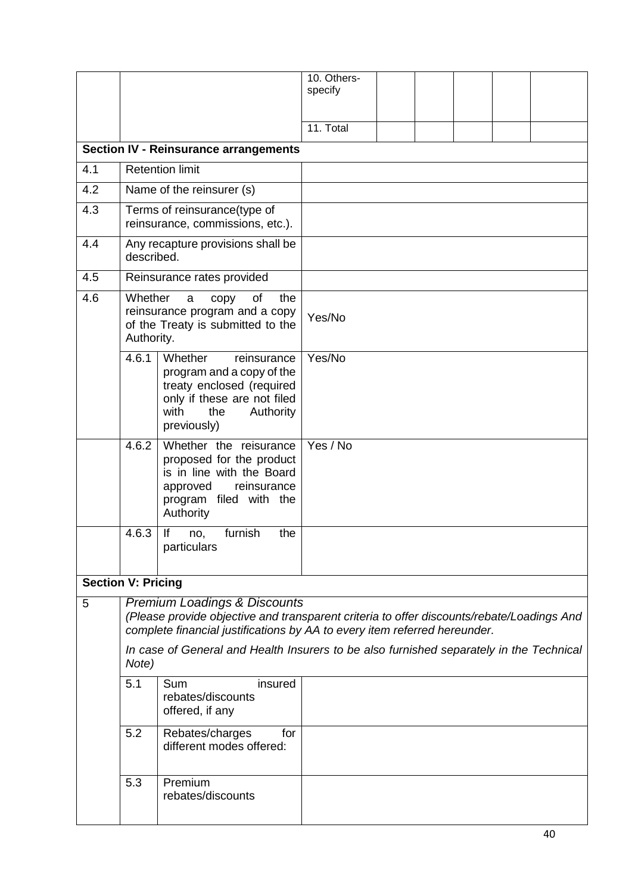|                           |                                                                                                                                                            |                                                                                                                                                                                                                                                                                                              | 10. Others-<br>specify |  |  |  |
|---------------------------|------------------------------------------------------------------------------------------------------------------------------------------------------------|--------------------------------------------------------------------------------------------------------------------------------------------------------------------------------------------------------------------------------------------------------------------------------------------------------------|------------------------|--|--|--|
|                           |                                                                                                                                                            |                                                                                                                                                                                                                                                                                                              |                        |  |  |  |
|                           |                                                                                                                                                            |                                                                                                                                                                                                                                                                                                              | 11. Total              |  |  |  |
|                           |                                                                                                                                                            | <b>Section IV - Reinsurance arrangements</b>                                                                                                                                                                                                                                                                 |                        |  |  |  |
| 4.1                       |                                                                                                                                                            | <b>Retention limit</b>                                                                                                                                                                                                                                                                                       |                        |  |  |  |
| 4.2                       |                                                                                                                                                            | Name of the reinsurer (s)                                                                                                                                                                                                                                                                                    |                        |  |  |  |
| 4.3                       |                                                                                                                                                            | Terms of reinsurance(type of<br>reinsurance, commissions, etc.).                                                                                                                                                                                                                                             |                        |  |  |  |
| 4.4                       | described.                                                                                                                                                 | Any recapture provisions shall be                                                                                                                                                                                                                                                                            |                        |  |  |  |
| 4.5                       |                                                                                                                                                            | Reinsurance rates provided                                                                                                                                                                                                                                                                                   |                        |  |  |  |
| 4.6                       | Whether<br>Authority.                                                                                                                                      | of<br>the<br>a<br>copy<br>reinsurance program and a copy<br>of the Treaty is submitted to the                                                                                                                                                                                                                | Yes/No                 |  |  |  |
|                           | 4.6.1                                                                                                                                                      | Whether<br>reinsurance<br>program and a copy of the<br>treaty enclosed (required<br>only if these are not filed<br>with<br>Authority<br>the<br>previously)                                                                                                                                                   | Yes/No                 |  |  |  |
|                           | Whether the reisurance<br>4.6.2<br>proposed for the product<br>is in line with the Board<br>approved<br>reinsurance<br>program filed with the<br>Authority |                                                                                                                                                                                                                                                                                                              | Yes / No               |  |  |  |
|                           | furnish<br>4.6.3<br>lf<br>the<br>no,<br>particulars                                                                                                        |                                                                                                                                                                                                                                                                                                              |                        |  |  |  |
| <b>Section V: Pricing</b> |                                                                                                                                                            |                                                                                                                                                                                                                                                                                                              |                        |  |  |  |
| 5                         |                                                                                                                                                            | <b>Premium Loadings &amp; Discounts</b><br>(Please provide objective and transparent criteria to offer discounts/rebate/Loadings And<br>complete financial justifications by AA to every item referred hereunder.<br>In case of General and Health Insurers to be also furnished separately in the Technical |                        |  |  |  |
|                           | Note)                                                                                                                                                      |                                                                                                                                                                                                                                                                                                              |                        |  |  |  |
|                           | 5.1                                                                                                                                                        | Sum<br>insured<br>rebates/discounts<br>offered, if any                                                                                                                                                                                                                                                       |                        |  |  |  |
|                           | 5.2                                                                                                                                                        | Rebates/charges<br>for<br>different modes offered:                                                                                                                                                                                                                                                           |                        |  |  |  |
|                           | 5.3                                                                                                                                                        | Premium<br>rebates/discounts                                                                                                                                                                                                                                                                                 |                        |  |  |  |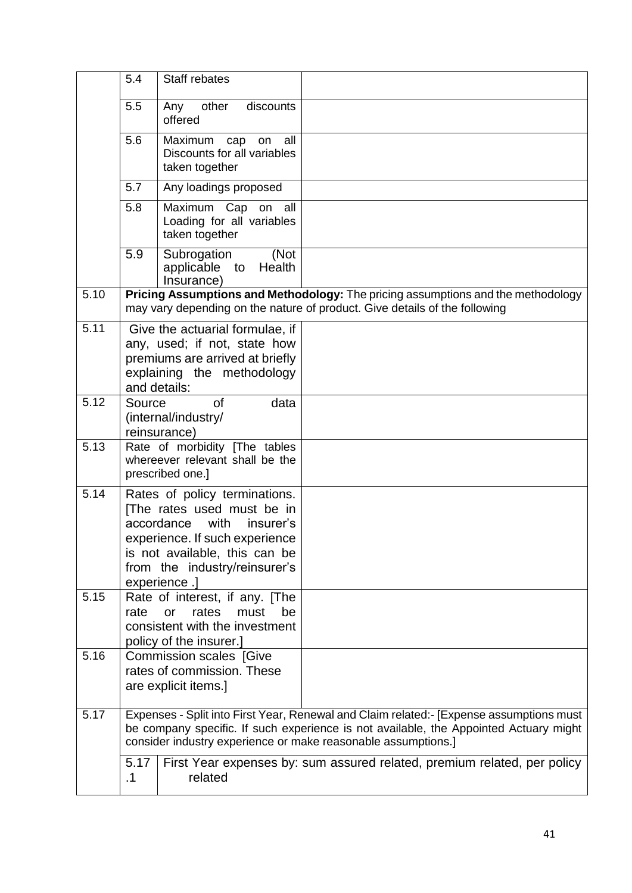|      | 5.4                                                                                  | Staff rebates                                                                                                                                                                                                      |                                                                                                                                                                                  |  |  |  |  |
|------|--------------------------------------------------------------------------------------|--------------------------------------------------------------------------------------------------------------------------------------------------------------------------------------------------------------------|----------------------------------------------------------------------------------------------------------------------------------------------------------------------------------|--|--|--|--|
|      | 5.5                                                                                  | other<br>discounts<br>Any<br>offered                                                                                                                                                                               |                                                                                                                                                                                  |  |  |  |  |
|      | 5.6                                                                                  | all<br>Maximum<br>cap<br>on<br>Discounts for all variables<br>taken together                                                                                                                                       |                                                                                                                                                                                  |  |  |  |  |
|      | 5.7                                                                                  | Any loadings proposed                                                                                                                                                                                              |                                                                                                                                                                                  |  |  |  |  |
|      | 5.8                                                                                  | Maximum Cap on all<br>Loading for all variables<br>taken together                                                                                                                                                  |                                                                                                                                                                                  |  |  |  |  |
|      | 5.9                                                                                  | Subrogation<br>(Not<br>Health<br>applicable to<br>Insurance)                                                                                                                                                       |                                                                                                                                                                                  |  |  |  |  |
| 5.10 |                                                                                      |                                                                                                                                                                                                                    | Pricing Assumptions and Methodology: The pricing assumptions and the methodology<br>may vary depending on the nature of product. Give details of the following                   |  |  |  |  |
| 5.11 |                                                                                      | Give the actuarial formulae, if<br>any, used; if not, state how<br>premiums are arrived at briefly<br>explaining the methodology<br>and details:                                                                   |                                                                                                                                                                                  |  |  |  |  |
| 5.12 | Source                                                                               | data<br><b>of</b><br>(internal/industry/<br>reinsurance)                                                                                                                                                           |                                                                                                                                                                                  |  |  |  |  |
| 5.13 |                                                                                      | Rate of morbidity [The tables<br>whereever relevant shall be the<br>prescribed one.]                                                                                                                               |                                                                                                                                                                                  |  |  |  |  |
| 5.14 |                                                                                      | Rates of policy terminations.<br>[The rates used must be in<br>accordance<br>with<br>insurer's<br>experience. If such experience<br>is not available, this can be<br>from the industry/reinsurer's<br>experience.] |                                                                                                                                                                                  |  |  |  |  |
| 5.15 | rate                                                                                 | Rate of interest, if any. [The<br>rates<br>must<br><b>or</b><br>be<br>consistent with the investment<br>policy of the insurer.]                                                                                    |                                                                                                                                                                                  |  |  |  |  |
| 5.16 | <b>Commission scales [Give</b><br>rates of commission. These<br>are explicit items.] |                                                                                                                                                                                                                    |                                                                                                                                                                                  |  |  |  |  |
| 5.17 |                                                                                      | consider industry experience or make reasonable assumptions.]                                                                                                                                                      | Expenses - Split into First Year, Renewal and Claim related:- [Expense assumptions must<br>be company specific. If such experience is not available, the Appointed Actuary might |  |  |  |  |
|      | 5.17<br>$\cdot$ 1                                                                    | related                                                                                                                                                                                                            | First Year expenses by: sum assured related, premium related, per policy                                                                                                         |  |  |  |  |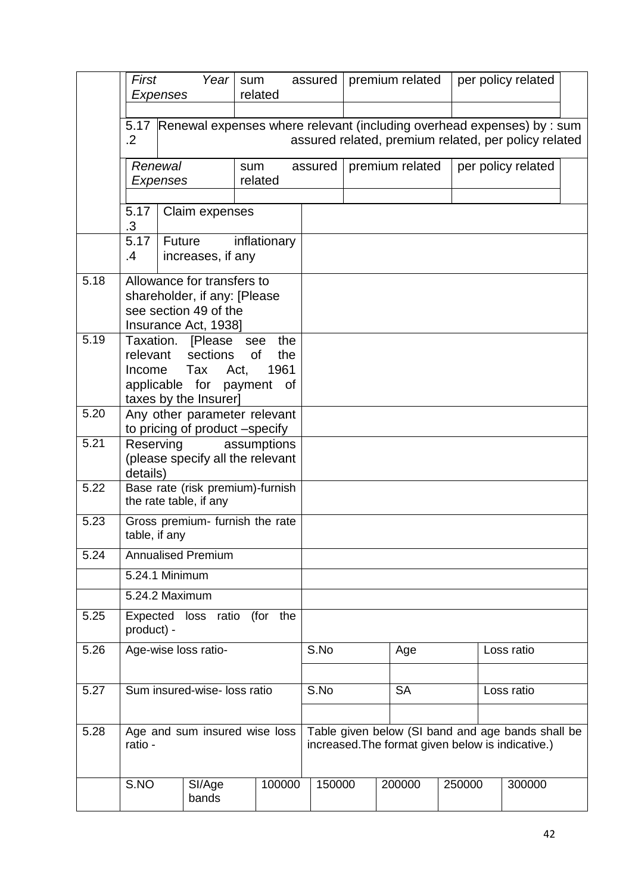|      | First                        | Year<br>sum<br>related<br>Expenses                                          |                                  |           | assured | premium related                                      |                                                                                                        |        | per policy related |                    |  |
|------|------------------------------|-----------------------------------------------------------------------------|----------------------------------|-----------|---------|------------------------------------------------------|--------------------------------------------------------------------------------------------------------|--------|--------------------|--------------------|--|
|      |                              |                                                                             |                                  |           |         |                                                      |                                                                                                        |        |                    |                    |  |
|      | $\cdot$ .2                   | 5.17 Renewal expenses where relevant (including overhead expenses) by : sum |                                  |           |         | assured related, premium related, per policy related |                                                                                                        |        |                    |                    |  |
|      |                              | Renewal<br>sum<br>Expenses<br>related                                       |                                  |           | assured |                                                      | premium related                                                                                        |        |                    | per policy related |  |
|      | 5.17                         | Claim expenses                                                              |                                  |           |         |                                                      |                                                                                                        |        |                    |                    |  |
|      | .3                           |                                                                             |                                  |           |         |                                                      |                                                                                                        |        |                    |                    |  |
|      | 5.17<br>.4                   | Future<br>increases, if any                                                 | inflationary                     |           |         |                                                      |                                                                                                        |        |                    |                    |  |
| 5.18 | Allowance for transfers to   |                                                                             |                                  |           |         |                                                      |                                                                                                        |        |                    |                    |  |
|      |                              | shareholder, if any: [Please<br>see section 49 of the                       |                                  |           |         |                                                      |                                                                                                        |        |                    |                    |  |
|      |                              | Insurance Act, 1938]                                                        |                                  |           |         |                                                      |                                                                                                        |        |                    |                    |  |
| 5.19 |                              | Taxation. [Please see the                                                   |                                  |           |         |                                                      |                                                                                                        |        |                    |                    |  |
|      | relevant<br>Income           | sections                                                                    | <b>of</b><br>the<br>1961<br>Act, |           |         |                                                      |                                                                                                        |        |                    |                    |  |
|      |                              | Tax<br>applicable for                                                       | payment of                       |           |         |                                                      |                                                                                                        |        |                    |                    |  |
|      |                              | taxes by the Insurer]                                                       |                                  |           |         |                                                      |                                                                                                        |        |                    |                    |  |
| 5.20 |                              | Any other parameter relevant<br>to pricing of product -specify              |                                  |           |         |                                                      |                                                                                                        |        |                    |                    |  |
| 5.21 | details)                     | Reserving<br>assumptions<br>(please specify all the relevant                |                                  |           |         |                                                      |                                                                                                        |        |                    |                    |  |
| 5.22 |                              | Base rate (risk premium)-furnish<br>the rate table, if any                  |                                  |           |         |                                                      |                                                                                                        |        |                    |                    |  |
| 5.23 | table, if any                | Gross premium- furnish the rate                                             |                                  |           |         |                                                      |                                                                                                        |        |                    |                    |  |
| 5.24 |                              | <b>Annualised Premium</b>                                                   |                                  |           |         |                                                      |                                                                                                        |        |                    |                    |  |
|      |                              | 5.24.1 Minimum                                                              |                                  |           |         |                                                      |                                                                                                        |        |                    |                    |  |
|      |                              | 5.24.2 Maximum                                                              |                                  |           |         |                                                      |                                                                                                        |        |                    |                    |  |
| 5.25 | Expected<br>product) -       | loss ratio (for the                                                         |                                  |           |         |                                                      |                                                                                                        |        |                    |                    |  |
| 5.26 |                              | Age-wise loss ratio-                                                        |                                  |           | S.No    |                                                      | Age                                                                                                    |        | Loss ratio         |                    |  |
|      |                              |                                                                             |                                  |           |         |                                                      |                                                                                                        |        |                    |                    |  |
| 5.27 | Sum insured-wise- loss ratio |                                                                             | S.No                             | <b>SA</b> |         |                                                      | Loss ratio                                                                                             |        |                    |                    |  |
|      |                              |                                                                             |                                  |           |         |                                                      |                                                                                                        |        |                    |                    |  |
| 5.28 | ratio -                      | Age and sum insured wise loss                                               |                                  |           |         |                                                      | Table given below (SI band and age bands shall be<br>increased. The format given below is indicative.) |        |                    |                    |  |
|      | S.NO                         | SI/Age<br>bands                                                             | 100000                           |           | 150000  |                                                      | 200000                                                                                                 | 250000 |                    | 300000             |  |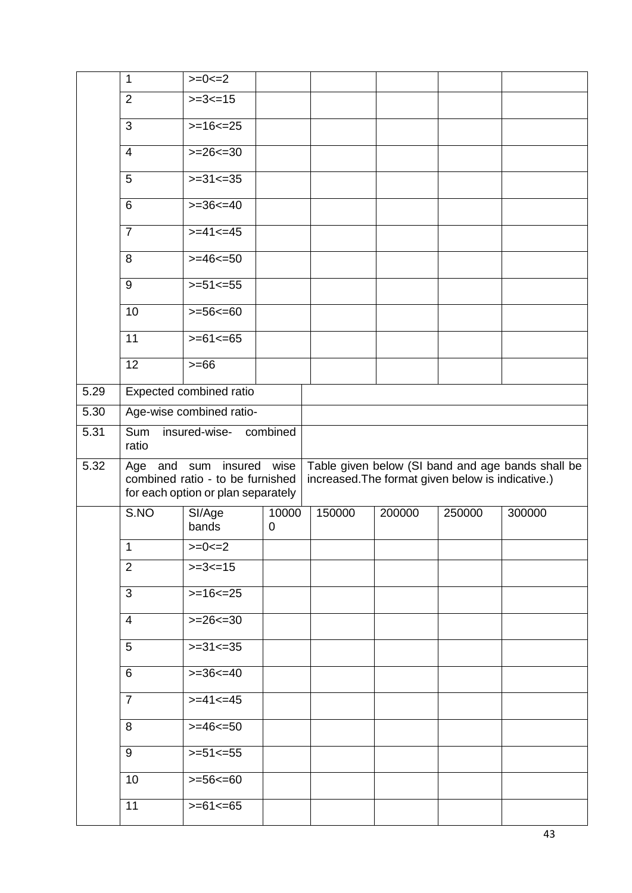|      | $\mathbf{1}$   | $>=0=-2$                                                                                 |                         |                                                   |        |        |                                                   |
|------|----------------|------------------------------------------------------------------------------------------|-------------------------|---------------------------------------------------|--------|--------|---------------------------------------------------|
|      | $\overline{2}$ | $>=3=15$                                                                                 |                         |                                                   |        |        |                                                   |
|      | 3              | $>=16==25$                                                                               |                         |                                                   |        |        |                                                   |
|      | $\overline{4}$ | $>=26==30$                                                                               |                         |                                                   |        |        |                                                   |
|      | 5              | $>=31<=35$                                                                               |                         |                                                   |        |        |                                                   |
|      | 6              | $>=36<=40$                                                                               |                         |                                                   |        |        |                                                   |
|      | $\overline{7}$ | $>= 41 \le 45$                                                                           |                         |                                                   |        |        |                                                   |
|      | 8              | $>= 46 50$                                                                               |                         |                                                   |        |        |                                                   |
|      | 9              | $>= 51 \le 55$                                                                           |                         |                                                   |        |        |                                                   |
|      | 10             | $>= 56 \le 60$                                                                           |                         |                                                   |        |        |                                                   |
|      | 11             | $>= 61 \le 65$                                                                           |                         |                                                   |        |        |                                                   |
|      | 12             | $>= 66$                                                                                  |                         |                                                   |        |        |                                                   |
| 5.29 |                | Expected combined ratio                                                                  |                         |                                                   |        |        |                                                   |
| 5.30 |                | Age-wise combined ratio-                                                                 |                         |                                                   |        |        |                                                   |
| 5.31 | Sum<br>ratio   | insured-wise- combined                                                                   |                         |                                                   |        |        |                                                   |
| 5.32 | Age and        | insured<br>sum<br>combined ratio - to be furnished<br>for each option or plan separately | wise                    | increased. The format given below is indicative.) |        |        | Table given below (SI band and age bands shall be |
|      | S.NO           | SI/Age<br>bands                                                                          | 10000<br>$\overline{0}$ | 150000                                            | 200000 | 250000 | 300000                                            |
|      | 1              | $>=0==2$                                                                                 |                         |                                                   |        |        |                                                   |
|      | 2              | $>=3==15$                                                                                |                         |                                                   |        |        |                                                   |
|      | 3              | $>=16=<16$                                                                               |                         |                                                   |        |        |                                                   |
|      | $\overline{4}$ | $>=26=<10$                                                                               |                         |                                                   |        |        |                                                   |
|      | 5              | $>=31<=35$                                                                               |                         |                                                   |        |        |                                                   |
|      | 6              | $>=36<=40$                                                                               |                         |                                                   |        |        |                                                   |
|      | $\overline{7}$ | $>=$ 41<=45                                                                              |                         |                                                   |        |        |                                                   |
|      |                |                                                                                          |                         |                                                   |        |        |                                                   |
|      | 8              | $>= 46 = 50$                                                                             |                         |                                                   |        |        |                                                   |
|      | 9              | $>=51<=55$                                                                               |                         |                                                   |        |        |                                                   |
|      | 10             | $>=56==60$<br>$>= 61  \text{5}$                                                          |                         |                                                   |        |        |                                                   |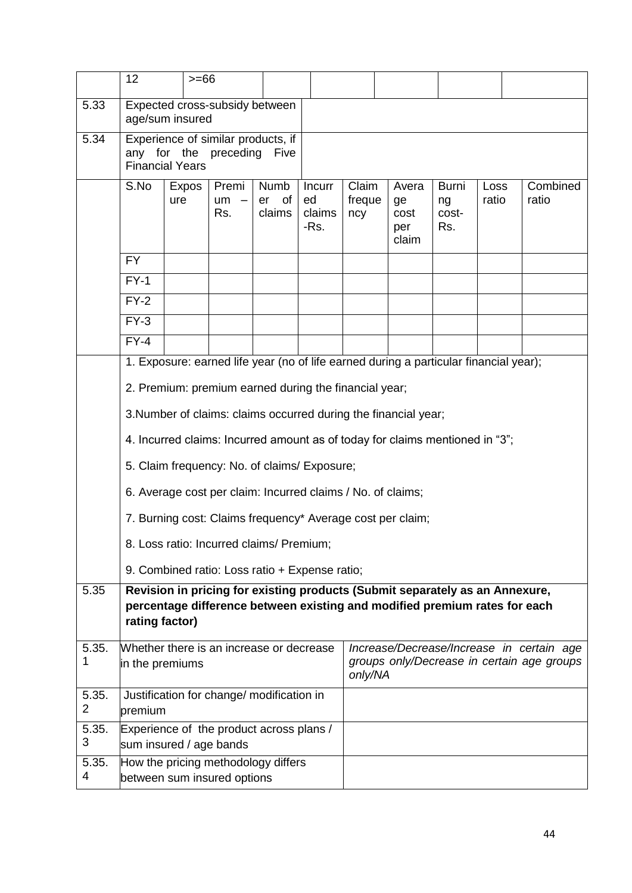|            | 12                                                                                                                                                                           | $>= 66$         |                                                             |                            |                                |                        |                                                                                       |                                    |                      |                                                                                         |  |
|------------|------------------------------------------------------------------------------------------------------------------------------------------------------------------------------|-----------------|-------------------------------------------------------------|----------------------------|--------------------------------|------------------------|---------------------------------------------------------------------------------------|------------------------------------|----------------------|-----------------------------------------------------------------------------------------|--|
| 5.33       |                                                                                                                                                                              | age/sum insured | Expected cross-subsidy between                              |                            |                                |                        |                                                                                       |                                    |                      |                                                                                         |  |
| 5.34       | Experience of similar products, if<br>any for the<br>preceding<br>Five<br><b>Financial Years</b>                                                                             |                 |                                                             |                            |                                |                        |                                                                                       |                                    |                      |                                                                                         |  |
|            | S.No                                                                                                                                                                         | Expos<br>ure    | Premi<br>um<br>Rs.                                          | Numb<br>of<br>er<br>claims | Incurr<br>ed<br>claims<br>-Rs. | Claim<br>freque<br>ncy | Avera<br>ge<br>cost<br>per<br>claim                                                   | <b>Burni</b><br>ng<br>cost-<br>Rs. | <b>Loss</b><br>ratio | Combined<br>ratio                                                                       |  |
|            | <b>FY</b>                                                                                                                                                                    |                 |                                                             |                            |                                |                        |                                                                                       |                                    |                      |                                                                                         |  |
|            | $FY-1$                                                                                                                                                                       |                 |                                                             |                            |                                |                        |                                                                                       |                                    |                      |                                                                                         |  |
|            | $FY-2$                                                                                                                                                                       |                 |                                                             |                            |                                |                        |                                                                                       |                                    |                      |                                                                                         |  |
|            | $FY-3$                                                                                                                                                                       |                 |                                                             |                            |                                |                        |                                                                                       |                                    |                      |                                                                                         |  |
|            | $FY-4$                                                                                                                                                                       |                 |                                                             |                            |                                |                        |                                                                                       |                                    |                      |                                                                                         |  |
|            |                                                                                                                                                                              |                 |                                                             |                            |                                |                        | 1. Exposure: earned life year (no of life earned during a particular financial year); |                                    |                      |                                                                                         |  |
|            | 2. Premium: premium earned during the financial year;                                                                                                                        |                 |                                                             |                            |                                |                        |                                                                                       |                                    |                      |                                                                                         |  |
|            |                                                                                                                                                                              |                 |                                                             |                            |                                |                        | 3. Number of claims: claims occurred during the financial year;                       |                                    |                      |                                                                                         |  |
|            |                                                                                                                                                                              |                 |                                                             |                            |                                |                        | 4. Incurred claims: Incurred amount as of today for claims mentioned in "3";          |                                    |                      |                                                                                         |  |
|            |                                                                                                                                                                              |                 | 5. Claim frequency: No. of claims/ Exposure;                |                            |                                |                        |                                                                                       |                                    |                      |                                                                                         |  |
|            |                                                                                                                                                                              |                 | 6. Average cost per claim: Incurred claims / No. of claims; |                            |                                |                        |                                                                                       |                                    |                      |                                                                                         |  |
|            |                                                                                                                                                                              |                 |                                                             |                            |                                |                        | 7. Burning cost: Claims frequency* Average cost per claim;                            |                                    |                      |                                                                                         |  |
|            |                                                                                                                                                                              |                 | 8. Loss ratio: Incurred claims/ Premium;                    |                            |                                |                        |                                                                                       |                                    |                      |                                                                                         |  |
|            |                                                                                                                                                                              |                 | 9. Combined ratio: Loss ratio + Expense ratio;              |                            |                                |                        |                                                                                       |                                    |                      |                                                                                         |  |
| 5.35       | Revision in pricing for existing products (Submit separately as an Annexure,<br>percentage difference between existing and modified premium rates for each<br>rating factor) |                 |                                                             |                            |                                |                        |                                                                                       |                                    |                      |                                                                                         |  |
| 5.35.<br>1 | in the premiums                                                                                                                                                              |                 | Whether there is an increase or decrease                    |                            |                                | only/NA                |                                                                                       |                                    |                      | Increase/Decrease/Increase in certain age<br>groups only/Decrease in certain age groups |  |
| 5.35.<br>2 | premium                                                                                                                                                                      |                 | Justification for change/ modification in                   |                            |                                |                        |                                                                                       |                                    |                      |                                                                                         |  |
| 5.35.<br>3 |                                                                                                                                                                              |                 | Experience of the product across plans /                    |                            |                                |                        |                                                                                       |                                    |                      |                                                                                         |  |
| 5.35.<br>4 | sum insured / age bands<br>How the pricing methodology differs<br>between sum insured options                                                                                |                 |                                                             |                            |                                |                        |                                                                                       |                                    |                      |                                                                                         |  |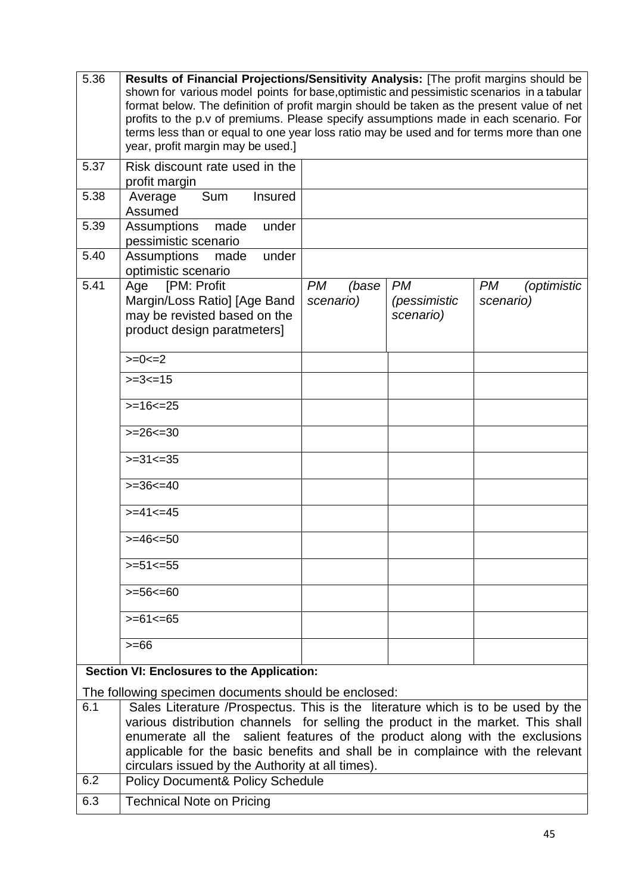| 5.36       | Results of Financial Projections/Sensitivity Analysis: [The profit margins should be<br>shown for various model points for base, optimistic and pessimistic scenarios in a tabular<br>format below. The definition of profit margin should be taken as the present value of net<br>profits to the p.v of premiums. Please specify assumptions made in each scenario. For<br>terms less than or equal to one year loss ratio may be used and for terms more than one<br>year, profit margin may be used.] |                                 |                                        |                                       |  |  |  |
|------------|----------------------------------------------------------------------------------------------------------------------------------------------------------------------------------------------------------------------------------------------------------------------------------------------------------------------------------------------------------------------------------------------------------------------------------------------------------------------------------------------------------|---------------------------------|----------------------------------------|---------------------------------------|--|--|--|
| 5.37       | Risk discount rate used in the<br>profit margin                                                                                                                                                                                                                                                                                                                                                                                                                                                          |                                 |                                        |                                       |  |  |  |
| 5.38       | Sum<br><b>Insured</b><br>Average<br>Assumed                                                                                                                                                                                                                                                                                                                                                                                                                                                              |                                 |                                        |                                       |  |  |  |
| 5.39       | Assumptions made<br>under<br>pessimistic scenario                                                                                                                                                                                                                                                                                                                                                                                                                                                        |                                 |                                        |                                       |  |  |  |
| 5.40       | Assumptions<br>under<br>made<br>optimistic scenario                                                                                                                                                                                                                                                                                                                                                                                                                                                      |                                 |                                        |                                       |  |  |  |
| 5.41       | [PM: Profit<br>Age<br>Margin/Loss Ratio] [Age Band<br>may be revisted based on the<br>product design paratmeters]                                                                                                                                                                                                                                                                                                                                                                                        | <b>PM</b><br>(base<br>scenario) | <b>PM</b><br>(pessimistic<br>scenario) | <b>PM</b><br>(optimistic<br>scenario) |  |  |  |
|            | $>=0==2$<br>$>=3<=15$                                                                                                                                                                                                                                                                                                                                                                                                                                                                                    |                                 |                                        |                                       |  |  |  |
|            | $>=16<=25$                                                                                                                                                                                                                                                                                                                                                                                                                                                                                               |                                 |                                        |                                       |  |  |  |
|            | $>=26<=30$                                                                                                                                                                                                                                                                                                                                                                                                                                                                                               |                                 |                                        |                                       |  |  |  |
|            | $>=31<=35$                                                                                                                                                                                                                                                                                                                                                                                                                                                                                               |                                 |                                        |                                       |  |  |  |
|            | $>=36<=40$                                                                                                                                                                                                                                                                                                                                                                                                                                                                                               |                                 |                                        |                                       |  |  |  |
|            | $>= 41  \le 45$                                                                                                                                                                                                                                                                                                                                                                                                                                                                                          |                                 |                                        |                                       |  |  |  |
|            | $>= 46 50$                                                                                                                                                                                                                                                                                                                                                                                                                                                                                               |                                 |                                        |                                       |  |  |  |
|            | $>=51<=55$                                                                                                                                                                                                                                                                                                                                                                                                                                                                                               |                                 |                                        |                                       |  |  |  |
|            | $>=56<=60$                                                                                                                                                                                                                                                                                                                                                                                                                                                                                               |                                 |                                        |                                       |  |  |  |
|            | $>= 61 \le 65$                                                                                                                                                                                                                                                                                                                                                                                                                                                                                           |                                 |                                        |                                       |  |  |  |
|            | $>= 66$                                                                                                                                                                                                                                                                                                                                                                                                                                                                                                  |                                 |                                        |                                       |  |  |  |
|            | Section VI: Enclosures to the Application:                                                                                                                                                                                                                                                                                                                                                                                                                                                               |                                 |                                        |                                       |  |  |  |
| 6.1<br>6.2 | The following specimen documents should be enclosed:<br>Sales Literature /Prospectus. This is the literature which is to be used by the<br>various distribution channels for selling the product in the market. This shall<br>enumerate all the salient features of the product along with the exclusions<br>applicable for the basic benefits and shall be in complaince with the relevant<br>circulars issued by the Authority at all times).<br><b>Policy Document&amp; Policy Schedule</b>           |                                 |                                        |                                       |  |  |  |
| 6.3        | <b>Technical Note on Pricing</b>                                                                                                                                                                                                                                                                                                                                                                                                                                                                         |                                 |                                        |                                       |  |  |  |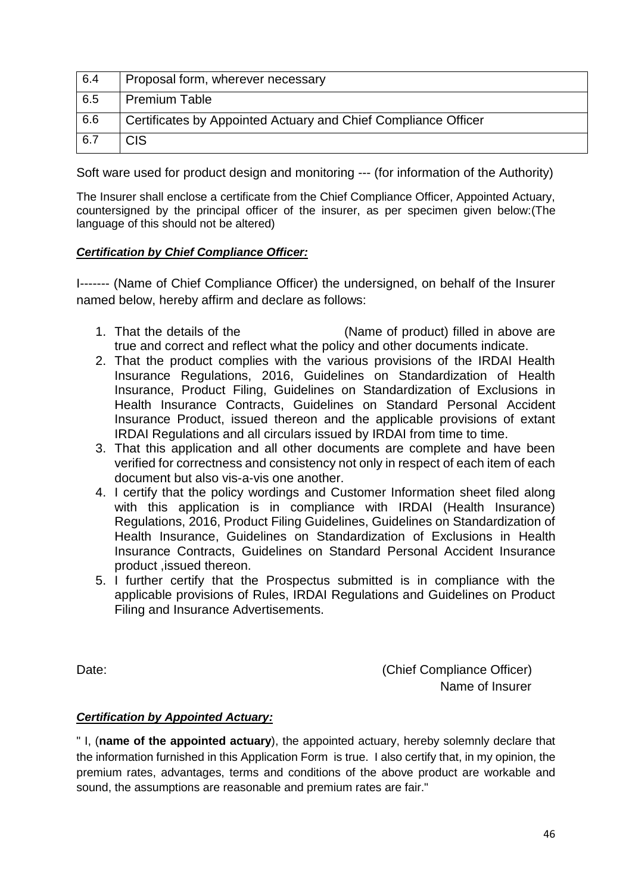| 6.4 | Proposal form, wherever necessary                              |
|-----|----------------------------------------------------------------|
| 6.5 | <b>Premium Table</b>                                           |
| 6.6 | Certificates by Appointed Actuary and Chief Compliance Officer |
| 6.7 | <b>CIS</b>                                                     |

Soft ware used for product design and monitoring --- (for information of the Authority)

The Insurer shall enclose a certificate from the Chief Compliance Officer, Appointed Actuary, countersigned by the principal officer of the insurer, as per specimen given below:(The language of this should not be altered)

#### *Certification by Chief Compliance Officer:*

I------- (Name of Chief Compliance Officer) the undersigned, on behalf of the Insurer named below, hereby affirm and declare as follows:

- 1. That the details of the (Name of product) filled in above are true and correct and reflect what the policy and other documents indicate.
- 2. That the product complies with the various provisions of the IRDAI Health Insurance Regulations, 2016, Guidelines on Standardization of Health Insurance, Product Filing, Guidelines on Standardization of Exclusions in Health Insurance Contracts, Guidelines on Standard Personal Accident Insurance Product, issued thereon and the applicable provisions of extant IRDAI Regulations and all circulars issued by IRDAI from time to time.
- 3. That this application and all other documents are complete and have been verified for correctness and consistency not only in respect of each item of each document but also vis-a-vis one another.
- 4. I certify that the policy wordings and Customer Information sheet filed along with this application is in compliance with IRDAI (Health Insurance) Regulations, 2016, Product Filing Guidelines, Guidelines on Standardization of Health Insurance, Guidelines on Standardization of Exclusions in Health Insurance Contracts, Guidelines on Standard Personal Accident Insurance product ,issued thereon.
- 5. I further certify that the Prospectus submitted is in compliance with the applicable provisions of Rules, IRDAI Regulations and Guidelines on Product Filing and Insurance Advertisements.

Date: (Chief Compliance Officer) Name of Insurer

## *Certification by Appointed Actuary:*

" I, (**name of the appointed actuary**), the appointed actuary, hereby solemnly declare that the information furnished in this Application Form is true. I also certify that, in my opinion, the premium rates, advantages, terms and conditions of the above product are workable and sound, the assumptions are reasonable and premium rates are fair."